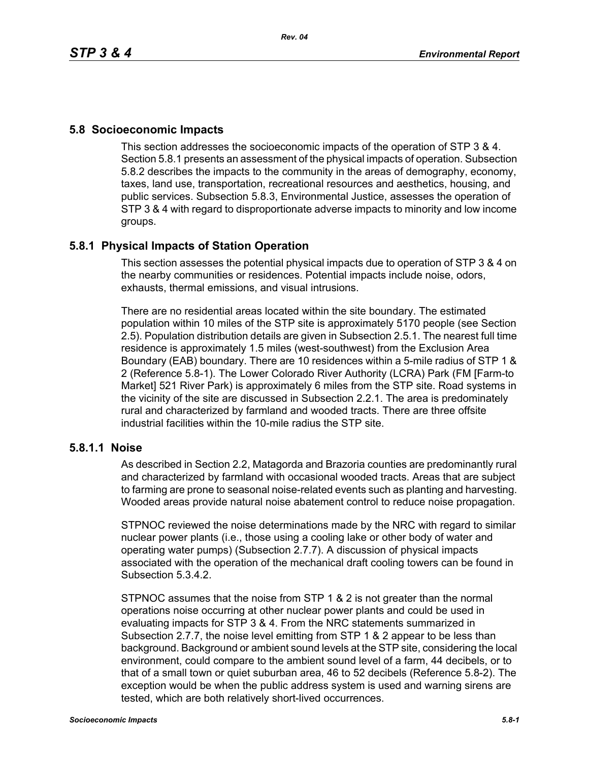#### **5.8 Socioeconomic Impacts**

This section addresses the socioeconomic impacts of the operation of STP 3 & 4. Section 5.8.1 presents an assessment of the physical impacts of operation. Subsection 5.8.2 describes the impacts to the community in the areas of demography, economy, taxes, land use, transportation, recreational resources and aesthetics, housing, and public services. Subsection 5.8.3, Environmental Justice, assesses the operation of STP 3 & 4 with regard to disproportionate adverse impacts to minority and low income groups.

### **5.8.1 Physical Impacts of Station Operation**

This section assesses the potential physical impacts due to operation of STP 3 & 4 on the nearby communities or residences. Potential impacts include noise, odors, exhausts, thermal emissions, and visual intrusions.

There are no residential areas located within the site boundary. The estimated population within 10 miles of the STP site is approximately 5170 people (see Section 2.5). Population distribution details are given in Subsection 2.5.1. The nearest full time residence is approximately 1.5 miles (west-southwest) from the Exclusion Area Boundary (EAB) boundary. There are 10 residences within a 5-mile radius of STP 1 & 2 (Reference 5.8-1). The Lower Colorado River Authority (LCRA) Park (FM [Farm-to Market] 521 River Park) is approximately 6 miles from the STP site. Road systems in the vicinity of the site are discussed in Subsection 2.2.1. The area is predominately rural and characterized by farmland and wooded tracts. There are three offsite industrial facilities within the 10-mile radius the STP site.

### **5.8.1.1 Noise**

As described in Section 2.2, Matagorda and Brazoria counties are predominantly rural and characterized by farmland with occasional wooded tracts. Areas that are subject to farming are prone to seasonal noise-related events such as planting and harvesting. Wooded areas provide natural noise abatement control to reduce noise propagation.

STPNOC reviewed the noise determinations made by the NRC with regard to similar nuclear power plants (i.e., those using a cooling lake or other body of water and operating water pumps) (Subsection 2.7.7). A discussion of physical impacts associated with the operation of the mechanical draft cooling towers can be found in Subsection 5.3.4.2.

STPNOC assumes that the noise from STP 1 & 2 is not greater than the normal operations noise occurring at other nuclear power plants and could be used in evaluating impacts for STP 3 & 4. From the NRC statements summarized in Subsection 2.7.7, the noise level emitting from STP 1 & 2 appear to be less than background. Background or ambient sound levels at the STP site, considering the local environment, could compare to the ambient sound level of a farm, 44 decibels, or to that of a small town or quiet suburban area, 46 to 52 decibels (Reference 5.8-2). The exception would be when the public address system is used and warning sirens are tested, which are both relatively short-lived occurrences.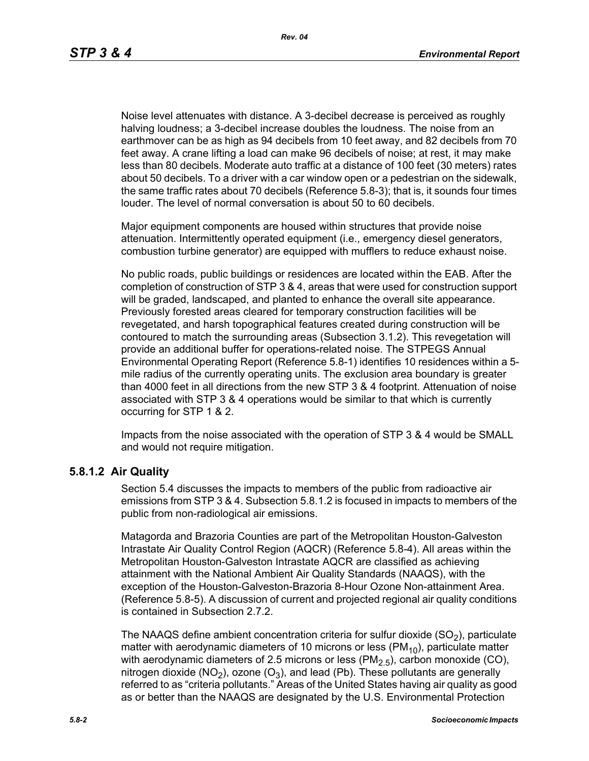Noise level attenuates with distance. A 3-decibel decrease is perceived as roughly halving loudness; a 3-decibel increase doubles the loudness. The noise from an earthmover can be as high as 94 decibels from 10 feet away, and 82 decibels from 70 feet away. A crane lifting a load can make 96 decibels of noise; at rest, it may make less than 80 decibels. Moderate auto traffic at a distance of 100 feet (30 meters) rates about 50 decibels. To a driver with a car window open or a pedestrian on the sidewalk, the same traffic rates about 70 decibels (Reference 5.8-3); that is, it sounds four times louder. The level of normal conversation is about 50 to 60 decibels.

Major equipment components are housed within structures that provide noise attenuation. Intermittently operated equipment (i.e., emergency diesel generators, combustion turbine generator) are equipped with mufflers to reduce exhaust noise.

No public roads, public buildings or residences are located within the EAB. After the completion of construction of STP 3 & 4, areas that were used for construction support will be graded, landscaped, and planted to enhance the overall site appearance. Previously forested areas cleared for temporary construction facilities will be revegetated, and harsh topographical features created during construction will be contoured to match the surrounding areas (Subsection 3.1.2). This revegetation will provide an additional buffer for operations-related noise. The STPEGS Annual Environmental Operating Report (Reference 5.8-1) identifies 10 residences within a 5 mile radius of the currently operating units. The exclusion area boundary is greater than 4000 feet in all directions from the new STP 3 & 4 footprint. Attenuation of noise associated with STP 3 & 4 operations would be similar to that which is currently occurring for STP 1 & 2.

Impacts from the noise associated with the operation of STP 3 & 4 would be SMALL and would not require mitigation.

#### **5.8.1.2 Air Quality**

Section 5.4 discusses the impacts to members of the public from radioactive air emissions from STP 3 & 4. Subsection 5.8.1.2 is focused in impacts to members of the public from non-radiological air emissions.

Matagorda and Brazoria Counties are part of the Metropolitan Houston-Galveston Intrastate Air Quality Control Region (AQCR) (Reference 5.8-4). All areas within the Metropolitan Houston-Galveston Intrastate AQCR are classified as achieving attainment with the National Ambient Air Quality Standards (NAAQS), with the exception of the Houston-Galveston-Brazoria 8-Hour Ozone Non-attainment Area. (Reference 5.8-5). A discussion of current and projected regional air quality conditions is contained in Subsection 2.7.2.

The NAAQS define ambient concentration criteria for sulfur dioxide  $(SO<sub>2</sub>)$ , particulate matter with aerodynamic diameters of 10 microns or less ( $PM_{10}$ ), particulate matter with aerodynamic diameters of 2.5 microns or less  $(PM<sub>2.5</sub>)$ , carbon monoxide (CO), nitrogen dioxide (NO<sub>2</sub>), ozone (O<sub>3</sub>), and lead (Pb). These pollutants are generally referred to as "criteria pollutants." Areas of the United States having air quality as good as or better than the NAAQS are designated by the U.S. Environmental Protection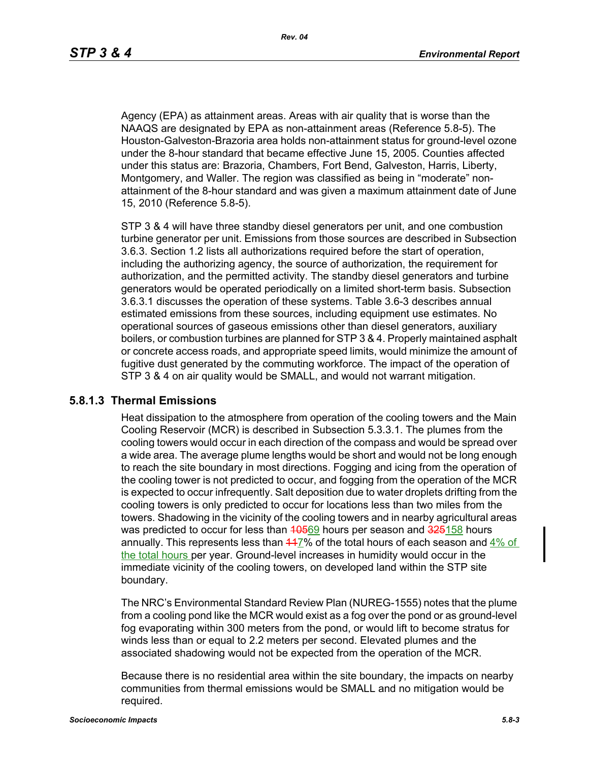Agency (EPA) as attainment areas. Areas with air quality that is worse than the NAAQS are designated by EPA as non-attainment areas (Reference 5.8-5). The Houston-Galveston-Brazoria area holds non-attainment status for ground-level ozone under the 8-hour standard that became effective June 15, 2005. Counties affected under this status are: Brazoria, Chambers, Fort Bend, Galveston, Harris, Liberty, Montgomery, and Waller. The region was classified as being in "moderate" nonattainment of the 8-hour standard and was given a maximum attainment date of June 15, 2010 (Reference 5.8-5).

STP 3 & 4 will have three standby diesel generators per unit, and one combustion turbine generator per unit. Emissions from those sources are described in Subsection 3.6.3. Section 1.2 lists all authorizations required before the start of operation, including the authorizing agency, the source of authorization, the requirement for authorization, and the permitted activity. The standby diesel generators and turbine generators would be operated periodically on a limited short-term basis. Subsection 3.6.3.1 discusses the operation of these systems. Table 3.6-3 describes annual estimated emissions from these sources, including equipment use estimates. No operational sources of gaseous emissions other than diesel generators, auxiliary boilers, or combustion turbines are planned for STP 3 & 4. Properly maintained asphalt or concrete access roads, and appropriate speed limits, would minimize the amount of fugitive dust generated by the commuting workforce. The impact of the operation of STP 3 & 4 on air quality would be SMALL, and would not warrant mitigation.

#### **5.8.1.3 Thermal Emissions**

Heat dissipation to the atmosphere from operation of the cooling towers and the Main Cooling Reservoir (MCR) is described in Subsection 5.3.3.1. The plumes from the cooling towers would occur in each direction of the compass and would be spread over a wide area. The average plume lengths would be short and would not be long enough to reach the site boundary in most directions. Fogging and icing from the operation of the cooling tower is not predicted to occur, and fogging from the operation of the MCR is expected to occur infrequently. Salt deposition due to water droplets drifting from the cooling towers is only predicted to occur for locations less than two miles from the towers. Shadowing in the vicinity of the cooling towers and in nearby agricultural areas was predicted to occur for less than 40569 hours per season and 325158 hours annually. This represents less than  $447\%$  of the total hours of each season and  $4\%$  of the total hours per year. Ground-level increases in humidity would occur in the immediate vicinity of the cooling towers, on developed land within the STP site boundary.

The NRC's Environmental Standard Review Plan (NUREG-1555) notes that the plume from a cooling pond like the MCR would exist as a fog over the pond or as ground-level fog evaporating within 300 meters from the pond, or would lift to become stratus for winds less than or equal to 2.2 meters per second. Elevated plumes and the associated shadowing would not be expected from the operation of the MCR.

Because there is no residential area within the site boundary, the impacts on nearby communities from thermal emissions would be SMALL and no mitigation would be required.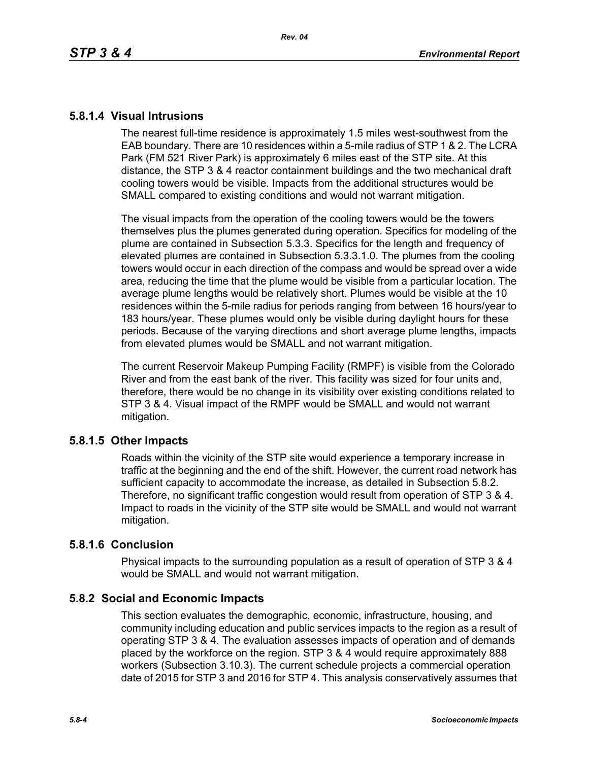### **5.8.1.4 Visual Intrusions**

The nearest full-time residence is approximately 1.5 miles west-southwest from the EAB boundary. There are 10 residences within a 5-mile radius of STP 1 & 2. The LCRA Park (FM 521 River Park) is approximately 6 miles east of the STP site. At this distance, the STP 3 & 4 reactor containment buildings and the two mechanical draft cooling towers would be visible. Impacts from the additional structures would be SMALL compared to existing conditions and would not warrant mitigation.

The visual impacts from the operation of the cooling towers would be the towers themselves plus the plumes generated during operation. Specifics for modeling of the plume are contained in Subsection 5.3.3. Specifics for the length and frequency of elevated plumes are contained in Subsection 5.3.3.1.0. The plumes from the cooling towers would occur in each direction of the compass and would be spread over a wide area, reducing the time that the plume would be visible from a particular location. The average plume lengths would be relatively short. Plumes would be visible at the 10 residences within the 5-mile radius for periods ranging from between 16 hours/year to 183 hours/year. These plumes would only be visible during daylight hours for these periods. Because of the varying directions and short average plume lengths, impacts from elevated plumes would be SMALL and not warrant mitigation.

The current Reservoir Makeup Pumping Facility (RMPF) is visible from the Colorado River and from the east bank of the river. This facility was sized for four units and, therefore, there would be no change in its visibility over existing conditions related to STP 3 & 4. Visual impact of the RMPF would be SMALL and would not warrant mitigation.

## **5.8.1.5 Other Impacts**

Roads within the vicinity of the STP site would experience a temporary increase in traffic at the beginning and the end of the shift. However, the current road network has sufficient capacity to accommodate the increase, as detailed in Subsection 5.8.2. Therefore, no significant traffic congestion would result from operation of STP 3 & 4. Impact to roads in the vicinity of the STP site would be SMALL and would not warrant mitigation.

### **5.8.1.6 Conclusion**

Physical impacts to the surrounding population as a result of operation of STP 3 & 4 would be SMALL and would not warrant mitigation.

## **5.8.2 Social and Economic Impacts**

This section evaluates the demographic, economic, infrastructure, housing, and community including education and public services impacts to the region as a result of operating STP 3 & 4. The evaluation assesses impacts of operation and of demands placed by the workforce on the region. STP 3 & 4 would require approximately 888 workers (Subsection 3.10.3). The current schedule projects a commercial operation date of 2015 for STP 3 and 2016 for STP 4. This analysis conservatively assumes that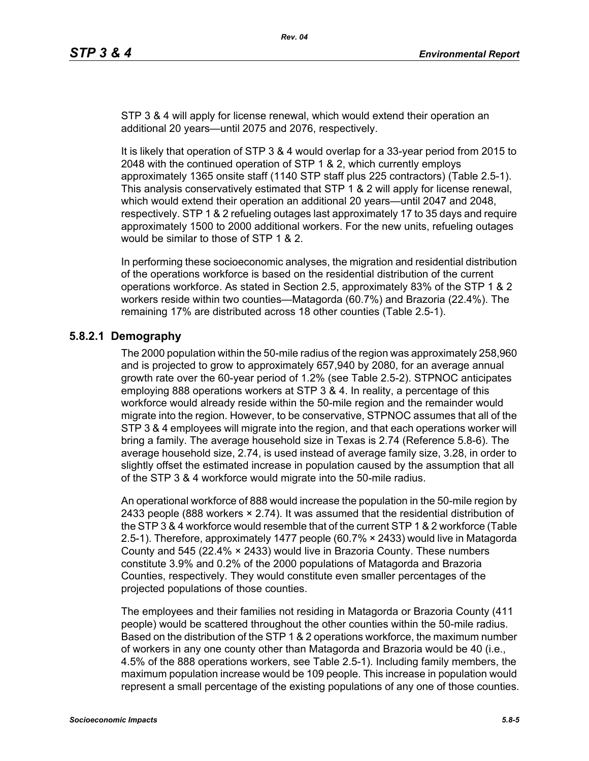STP 3 & 4 will apply for license renewal, which would extend their operation an additional 20 years—until 2075 and 2076, respectively.

It is likely that operation of STP 3 & 4 would overlap for a 33-year period from 2015 to 2048 with the continued operation of STP 1 & 2, which currently employs approximately 1365 onsite staff (1140 STP staff plus 225 contractors) (Table 2.5-1). This analysis conservatively estimated that STP 1 & 2 will apply for license renewal, which would extend their operation an additional 20 years—until 2047 and 2048, respectively. STP 1 & 2 refueling outages last approximately 17 to 35 days and require approximately 1500 to 2000 additional workers. For the new units, refueling outages would be similar to those of STP 1 & 2.

In performing these socioeconomic analyses, the migration and residential distribution of the operations workforce is based on the residential distribution of the current operations workforce. As stated in Section 2.5, approximately 83% of the STP 1 & 2 workers reside within two counties—Matagorda (60.7%) and Brazoria (22.4%). The remaining 17% are distributed across 18 other counties (Table 2.5-1).

# **5.8.2.1 Demography**

The 2000 population within the 50-mile radius of the region was approximately 258,960 and is projected to grow to approximately 657,940 by 2080, for an average annual growth rate over the 60-year period of 1.2% (see Table 2.5-2). STPNOC anticipates employing 888 operations workers at STP 3 & 4. In reality, a percentage of this workforce would already reside within the 50-mile region and the remainder would migrate into the region. However, to be conservative, STPNOC assumes that all of the STP 3 & 4 employees will migrate into the region, and that each operations worker will bring a family. The average household size in Texas is 2.74 (Reference 5.8-6). The average household size, 2.74, is used instead of average family size, 3.28, in order to slightly offset the estimated increase in population caused by the assumption that all of the STP 3 & 4 workforce would migrate into the 50-mile radius.

An operational workforce of 888 would increase the population in the 50-mile region by 2433 people (888 workers  $\times$  2.74). It was assumed that the residential distribution of [the STP 3 & 4 workforce would resemble that of the current STP 1 & 2 workforce \(Table](http://www.stats.bls.gov/)  2.5-1). Therefore, approximately 1477 people (60.7% × 2433) would live in Matagorda County and 545 (22.4% × 2433) would live in Brazoria County. These numbers constitute 3.9% and 0.2% of the 2000 populations of Matagorda and Brazoria Counties, respectively. They would constitute even smaller percentages of the projected populations of those counties.

The employees and their families not residing in Matagorda or Brazoria County (411 people) would be scattered throughout the other counties within the 50-mile radius. Based on the distribution of the STP 1 & 2 operations workforce, the maximum number of workers in any one county other than Matagorda and Brazoria would be 40 (i.e., 4.5% of the 888 operations workers, see Table 2.5-1). Including family members, the maximum population increase would be 109 people. This increase in population would represent a small percentage of the existing populations of any one of those counties.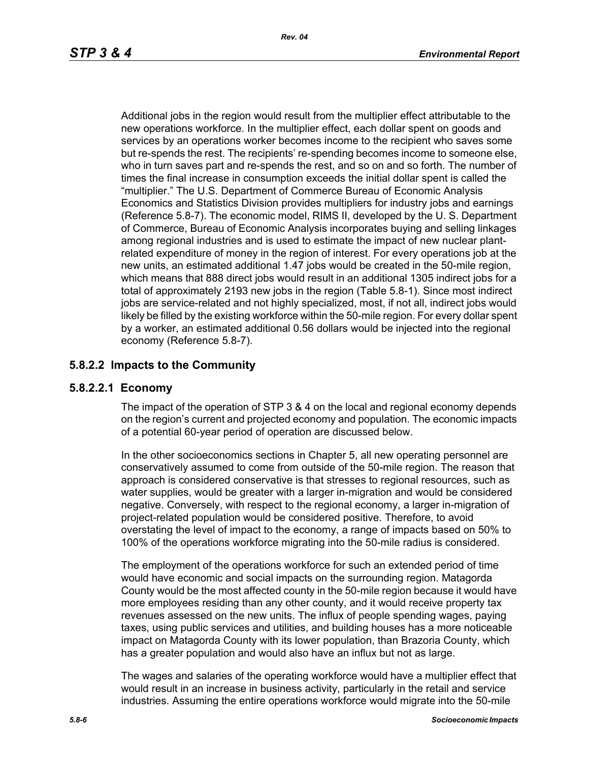Additional jobs in the region would result from the multiplier effect attributable to the new operations workforce. In the multiplier effect, each dollar spent on goods and services by an operations worker becomes income to the recipient who saves some but re-spends the rest. The recipients' re-spending becomes income to someone else, who in turn saves part and re-spends the rest, and so on and so forth. The number of times the final increase in consumption exceeds the initial dollar spent is called the "multiplier." The U.S. Department of Commerce Bureau of Economic Analysis Economics and Statistics Division provides multipliers for industry jobs and earnings (Reference 5.8-7). The economic model, RIMS II, developed by the U. S. Department of Commerce, Bureau of Economic Analysis incorporates buying and selling linkages among regional industries and is used to estimate the impact of new nuclear plantrelated expenditure of money in the region of interest. For every operations job at the new units, an estimated additional 1.47 jobs would be created in the 50-mile region, which means that 888 direct jobs would result in an additional 1305 indirect jobs for a total of approximately 2193 new jobs in the region (Table 5.8-1). Since most indirect iobs are service-related and not highly specialized, most, if not all, indirect jobs would likely be filled by the existing workforce within the 50-mile region. For every dollar spent by a worker, an estimated additional 0.56 dollars would be injected into the regional economy (Reference 5.8-7).

# **5.8.2.2 Impacts to the Community**

## **5.8.2.2.1 Economy**

The impact of the operation of STP 3 & 4 on the local and regional economy depends on the region's current and projected economy and population. The economic impacts of a potential 60-year period of operation are discussed below.

In the other socioeconomics sections in Chapter 5, all new operating personnel are conservatively assumed to come from outside of the 50-mile region. The reason that approach is considered conservative is that stresses to regional resources, such as water supplies, would be greater with a larger in-migration and would be considered negative. Conversely, with respect to the regional economy, a larger in-migration of project-related population would be considered positive. Therefore, to avoid overstating the level of impact to the economy, a range of impacts based on 50% to 100% of the operations workforce migrating into the 50-mile radius is considered.

The employment of the operations workforce for such an extended period of time would have economic and social impacts on the surrounding region. Matagorda County would be the most affected county in the 50-mile region because it would have more employees residing than any other county, and it would receive property tax revenues assessed on the new units. The influx of people spending wages, paying taxes, using public services and utilities, and building houses has a more noticeable impact on Matagorda County with its lower population, than Brazoria County, which has a greater population and would also have an influx but not as large.

The wages and salaries of the operating workforce would have a multiplier effect that would result in an increase in business activity, particularly in the retail and service industries. Assuming the entire operations workforce would migrate into the 50-mile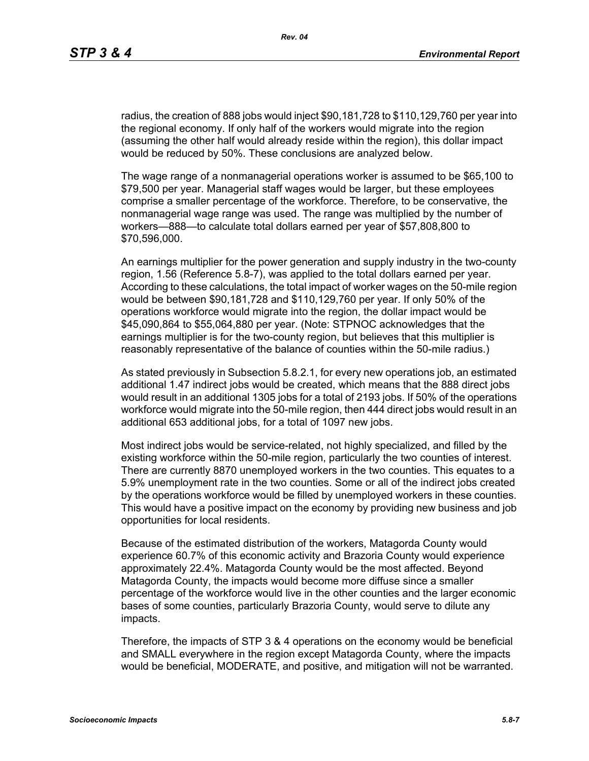radius, the creation of 888 jobs would inject \$90,181,728 to \$110,129,760 per year into the regional economy. If only half of the workers would migrate into the region (assuming the other half would already reside within the region), this dollar impact would be reduced by 50%. These conclusions are analyzed below.

The wage range of a nonmanagerial operations worker is assumed to be \$65,100 to \$79,500 per year. Managerial staff wages would be larger, but these employees comprise a smaller percentage of the workforce. Therefore, to be conservative, the nonmanagerial wage range was used. The range was multiplied by the number of workers—888—to calculate total dollars earned per year of \$57,808,800 to \$70,596,000.

An earnings multiplier for the power generation and supply industry in the two-county region, 1.56 (Reference 5.8-7), was applied to the total dollars earned per year. According to these calculations, the total impact of worker wages on the 50-mile region would be between \$90,181,728 and \$110,129,760 per year. If only 50% of the operations workforce would migrate into the region, the dollar impact would be \$45,090,864 to \$55,064,880 per year. (Note: STPNOC acknowledges that the earnings multiplier is for the two-county region, but believes that this multiplier is reasonably representative of the balance of counties within the 50-mile radius.)

As stated previously in Subsection 5.8.2.1, for every new operations job, an estimated additional 1.47 indirect jobs would be created, which means that the 888 direct jobs would result in an additional 1305 jobs for a total of 2193 jobs. If 50% of the operations workforce would migrate into the 50-mile region, then 444 direct jobs would result in an additional 653 additional jobs, for a total of 1097 new jobs.

Most indirect jobs would be service-related, not highly specialized, and filled by the existing workforce within the 50-mile region, particularly the two counties of interest. There are currently 8870 unemployed workers in the two counties. This equates to a 5.9% unemployment rate in the two counties. Some or all of the indirect jobs created by the operations workforce would be filled by unemployed workers in these counties. This would have a positive impact on the economy by providing new business and job opportunities for local residents.

Because of the estimated distribution of the workers, Matagorda County would experience 60.7% of this economic activity and Brazoria County would experience approximately 22.4%. Matagorda County would be the most affected. Beyond Matagorda County, the impacts would become more diffuse since a smaller percentage of the workforce would live in the other counties and the larger economic bases of some counties, particularly Brazoria County, would serve to dilute any impacts.

Therefore, the impacts of STP 3 & 4 operations on the economy would be beneficial and SMALL everywhere in the region except Matagorda County, where the impacts would be beneficial, MODERATE, and positive, and mitigation will not be warranted.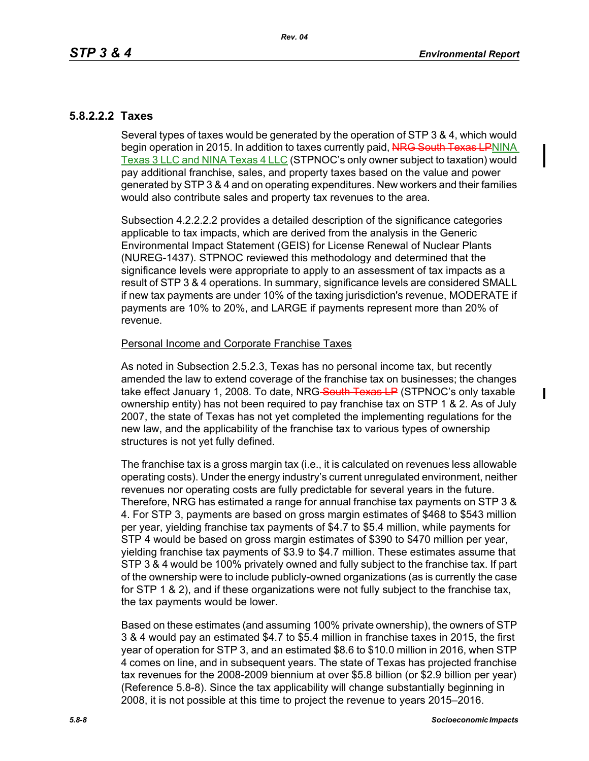## **5.8.2.2.2 Taxes**

Several types of taxes would be generated by the operation of STP 3 & 4, which would begin operation in 2015. In addition to taxes currently paid, NRG South Texas LPNINA Texas 3 LLC and NINA Texas 4 LLC (STPNOC's only owner subject to taxation) would pay additional franchise, sales, and property taxes based on the value and power generated by STP 3 & 4 and on operating expenditures. New workers and their families would also contribute sales and property tax revenues to the area.

Subsection 4.2.2.2.2 provides a detailed description of the significance categories applicable to tax impacts, which are derived from the analysis in the Generic Environmental Impact Statement (GEIS) for License Renewal of Nuclear Plants (NUREG-1437). STPNOC reviewed this methodology and determined that the significance levels were appropriate to apply to an assessment of tax impacts as a result of STP 3 & 4 operations. In summary, significance levels are considered SMALL if new tax payments are under 10% of the taxing jurisdiction's revenue, MODERATE if payments are 10% to 20%, and LARGE if payments represent more than 20% of revenue.

### Personal Income and Corporate Franchise Taxes

As noted in Subsection 2.5.2.3, Texas has no personal income tax, but recently amended the law to extend coverage of the franchise tax on businesses; the changes take effect January 1, 2008. To date, NRG-South Texas LP (STPNOC's only taxable ownership entity) has not been required to pay franchise tax on STP 1 & 2. As of July 2007, the state of Texas has not yet completed the implementing regulations for the new law, and the applicability of the franchise tax to various types of ownership structures is not yet fully defined.

The franchise tax is a gross margin tax (i.e., it is calculated on revenues less allowable operating costs). Under the energy industry's current unregulated environment, neither revenues nor operating costs are fully predictable for several years in the future. Therefore, NRG has estimated a range for annual franchise tax payments on STP 3 & 4. For STP 3, payments are based on gross margin estimates of \$468 to \$543 million per year, yielding franchise tax payments of \$4.7 to \$5.4 million, while payments for STP 4 would be based on gross margin estimates of \$390 to \$470 million per year, yielding franchise tax payments of \$3.9 to \$4.7 million. These estimates assume that STP 3 & 4 would be 100% privately owned and fully subject to the franchise tax. If part of the ownership were to include publicly-owned organizations (as is currently the case for STP 1 & 2), and if these organizations were not fully subject to the franchise tax, the tax payments would be lower.

Based on these estimates (and assuming 100% private ownership), the owners of STP 3 & 4 would pay an estimated \$4.7 to \$5.4 million in franchise taxes in 2015, the first year of operation for STP 3, and an estimated \$8.6 to \$10.0 million in 2016, when STP 4 comes on line, and in subsequent years. The state of Texas has projected franchise tax revenues for the 2008-2009 biennium at over \$5.8 billion (or \$2.9 billion per year) (Reference 5.8-8). Since the tax applicability will change substantially beginning in 2008, it is not possible at this time to project the revenue to years 2015–2016.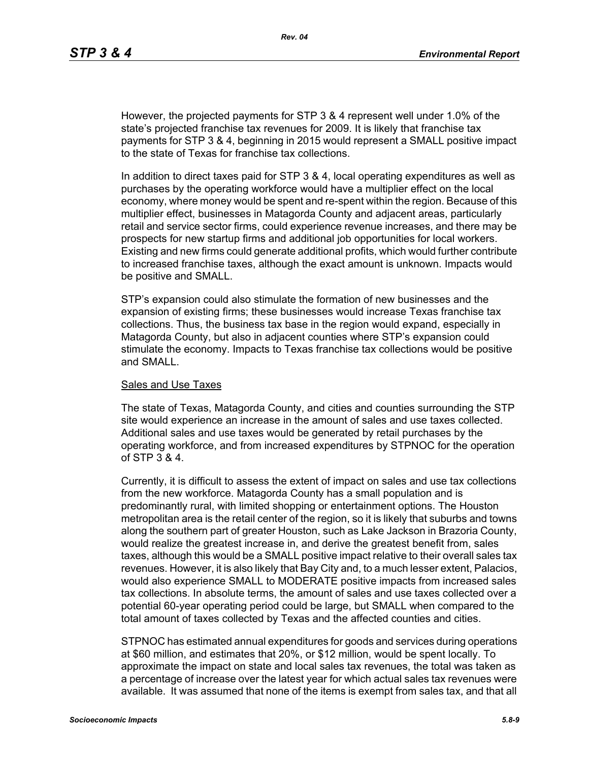However, the projected payments for STP 3 & 4 represent well under 1.0% of the state's projected franchise tax revenues for 2009. It is likely that franchise tax payments for STP 3 & 4, beginning in 2015 would represent a SMALL positive impact to the state of Texas for franchise tax collections.

In addition to direct taxes paid for STP 3 & 4, local operating expenditures as well as purchases by the operating workforce would have a multiplier effect on the local economy, where money would be spent and re-spent within the region. Because of this multiplier effect, businesses in Matagorda County and adjacent areas, particularly retail and service sector firms, could experience revenue increases, and there may be prospects for new startup firms and additional job opportunities for local workers. Existing and new firms could generate additional profits, which would further contribute to increased franchise taxes, although the exact amount is unknown. Impacts would be positive and SMALL.

STP's expansion could also stimulate the formation of new businesses and the expansion of existing firms; these businesses would increase Texas franchise tax collections. Thus, the business tax base in the region would expand, especially in Matagorda County, but also in adjacent counties where STP's expansion could stimulate the economy. Impacts to Texas franchise tax collections would be positive and SMALL.

#### Sales and Use Taxes

The state of Texas, Matagorda County, and cities and counties surrounding the STP site would experience an increase in the amount of sales and use taxes collected. Additional sales and use taxes would be generated by retail purchases by the operating workforce, and from increased expenditures by STPNOC for the operation of STP 3 & 4.

Currently, it is difficult to assess the extent of impact on sales and use tax collections from the new workforce. Matagorda County has a small population and is predominantly rural, with limited shopping or entertainment options. The Houston metropolitan area is the retail center of the region, so it is likely that suburbs and towns along the southern part of greater Houston, such as Lake Jackson in Brazoria County, would realize the greatest increase in, and derive the greatest benefit from, sales taxes, although this would be a SMALL positive impact relative to their overall sales tax revenues. However, it is also likely that Bay City and, to a much lesser extent, Palacios, would also experience SMALL to MODERATE positive impacts from increased sales tax collections. In absolute terms, the amount of sales and use taxes collected over a potential 60-year operating period could be large, but SMALL when compared to the total amount of taxes collected by Texas and the affected counties and cities.

STPNOC has estimated annual expenditures for goods and services during operations at \$60 million, and estimates that 20%, or \$12 million, would be spent locally. To approximate the impact on state and local sales tax revenues, the total was taken as a percentage of increase over the latest year for which actual sales tax revenues were available. It was assumed that none of the items is exempt from sales tax, and that all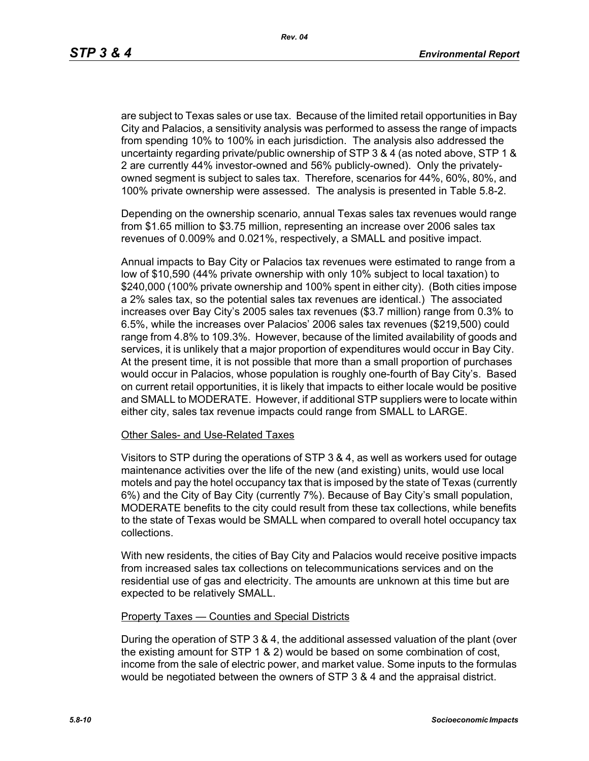are subject to Texas sales or use tax. Because of the limited retail opportunities in Bay City and Palacios, a sensitivity analysis was performed to assess the range of impacts from spending 10% to 100% in each jurisdiction. The analysis also addressed the uncertainty regarding private/public ownership of STP 3 & 4 (as noted above, STP 1 & 2 are currently 44% investor-owned and 56% publicly-owned). Only the privatelyowned segment is subject to sales tax. Therefore, scenarios for 44%, 60%, 80%, and 100% private ownership were assessed. The analysis is presented in Table 5.8-2.

Depending on the ownership scenario, annual Texas sales tax revenues would range from \$1.65 million to \$3.75 million, representing an increase over 2006 sales tax revenues of 0.009% and 0.021%, respectively, a SMALL and positive impact.

Annual impacts to Bay City or Palacios tax revenues were estimated to range from a low of \$10,590 (44% private ownership with only 10% subject to local taxation) to \$240,000 (100% private ownership and 100% spent in either city). (Both cities impose a 2% sales tax, so the potential sales tax revenues are identical.) The associated increases over Bay City's 2005 sales tax revenues (\$3.7 million) range from 0.3% to 6.5%, while the increases over Palacios' 2006 sales tax revenues (\$219,500) could range from 4.8% to 109.3%. However, because of the limited availability of goods and services, it is unlikely that a major proportion of expenditures would occur in Bay City. At the present time, it is not possible that more than a small proportion of purchases would occur in Palacios, whose population is roughly one-fourth of Bay City's. Based on current retail opportunities, it is likely that impacts to either locale would be positive and SMALL to MODERATE. However, if additional STP suppliers were to locate within either city, sales tax revenue impacts could range from SMALL to LARGE.

#### Other Sales- and Use-Related Taxes

Visitors to STP during the operations of STP 3 & 4, as well as workers used for outage maintenance activities over the life of the new (and existing) units, would use local motels and pay the hotel occupancy tax that is imposed by the state of Texas (currently 6%) and the City of Bay City (currently 7%). Because of Bay City's small population, MODERATE benefits to the city could result from these tax collections, while benefits to the state of Texas would be SMALL when compared to overall hotel occupancy tax collections.

With new residents, the cities of Bay City and Palacios would receive positive impacts from increased sales tax collections on telecommunications services and on the residential use of gas and electricity. The amounts are unknown at this time but are expected to be relatively SMALL.

#### Property Taxes — Counties and Special Districts

During the operation of STP 3 & 4, the additional assessed valuation of the plant (over the existing amount for STP 1 & 2) would be based on some combination of cost, income from the sale of electric power, and market value. Some inputs to the formulas would be negotiated between the owners of STP 3 & 4 and the appraisal district.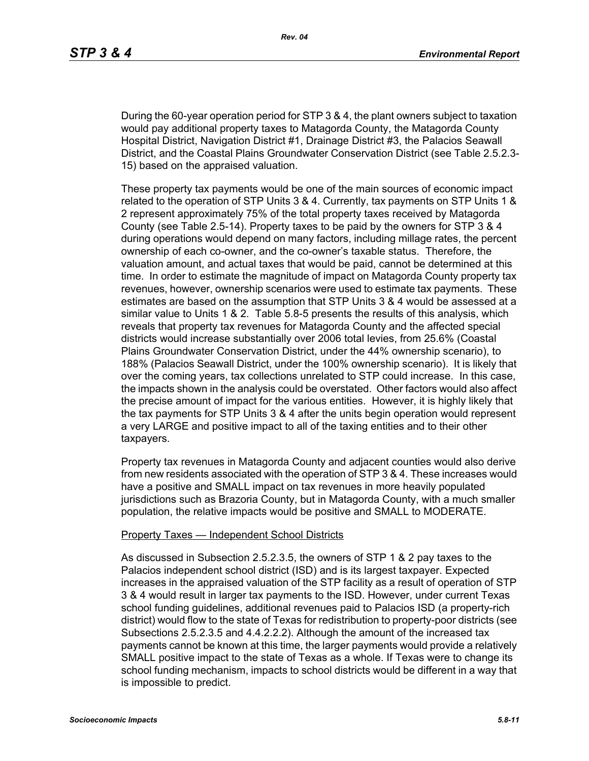During the 60-year operation period for STP 3 & 4, the plant owners subject to taxation would pay additional property taxes to Matagorda County, the Matagorda County Hospital District, Navigation District #1, Drainage District #3, the Palacios Seawall District, and the Coastal Plains Groundwater Conservation District (see Table 2.5.2.3- 15) based on the appraised valuation.

These property tax payments would be one of the main sources of economic impact related to the operation of STP Units 3 & 4. Currently, tax payments on STP Units 1 & 2 represent approximately 75% of the total property taxes received by Matagorda County (see Table 2.5-14). Property taxes to be paid by the owners for STP 3 & 4 during operations would depend on many factors, including millage rates, the percent ownership of each co-owner, and the co-owner's taxable status. Therefore, the valuation amount, and actual taxes that would be paid, cannot be determined at this time. In order to estimate the magnitude of impact on Matagorda County property tax revenues, however, ownership scenarios were used to estimate tax payments. These estimates are based on the assumption that STP Units 3 & 4 would be assessed at a similar value to Units 1 & 2. Table 5.8-5 presents the results of this analysis, which reveals that property tax revenues for Matagorda County and the affected special districts would increase substantially over 2006 total levies, from 25.6% (Coastal Plains Groundwater Conservation District, under the 44% ownership scenario), to 188% (Palacios Seawall District, under the 100% ownership scenario). It is likely that over the coming years, tax collections unrelated to STP could increase. In this case, the impacts shown in the analysis could be overstated. Other factors would also affect the precise amount of impact for the various entities. However, it is highly likely that the tax payments for STP Units 3 & 4 after the units begin operation would represent a very LARGE and positive impact to all of the taxing entities and to their other taxpayers.

Property tax revenues in Matagorda County and adjacent counties would also derive from new residents associated with the operation of STP 3 & 4. These increases would have a positive and SMALL impact on tax revenues in more heavily populated jurisdictions such as Brazoria County, but in Matagorda County, with a much smaller population, the relative impacts would be positive and SMALL to MODERATE.

#### Property Taxes — Independent School Districts

As discussed in Subsection 2.5.2.3.5, the owners of STP 1 & 2 pay taxes to the Palacios independent school district (ISD) and is its largest taxpayer. Expected increases in the appraised valuation of the STP facility as a result of operation of STP 3 & 4 would result in larger tax payments to the ISD. However, under current Texas school funding guidelines, additional revenues paid to Palacios ISD (a property-rich district) would flow to the state of Texas for redistribution to property-poor districts (see Subsections 2.5.2.3.5 and 4.4.2.2.2). Although the amount of the increased tax payments cannot be known at this time, the larger payments would provide a relatively SMALL positive impact to the state of Texas as a whole. If Texas were to change its school funding mechanism, impacts to school districts would be different in a way that is impossible to predict.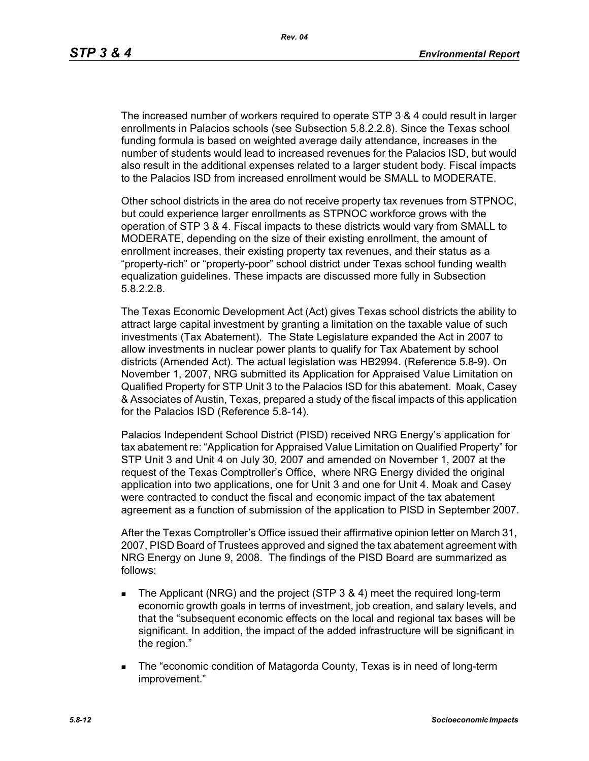The increased number of workers required to operate STP 3 & 4 could result in larger enrollments in Palacios schools (see Subsection 5.8.2.2.8). Since the Texas school funding formula is based on weighted average daily attendance, increases in the number of students would lead to increased revenues for the Palacios ISD, but would also result in the additional expenses related to a larger student body. Fiscal impacts to the Palacios ISD from increased enrollment would be SMALL to MODERATE.

Other school districts in the area do not receive property tax revenues from STPNOC, but could experience larger enrollments as STPNOC workforce grows with the operation of STP 3 & 4. Fiscal impacts to these districts would vary from SMALL to MODERATE, depending on the size of their existing enrollment, the amount of enrollment increases, their existing property tax revenues, and their status as a "property-rich" or "property-poor" school district under Texas school funding wealth equalization guidelines. These impacts are discussed more fully in Subsection 5.8.2.2.8.

The Texas Economic Development Act (Act) gives Texas school districts the ability to attract large capital investment by granting a limitation on the taxable value of such investments (Tax Abatement). The State Legislature expanded the Act in 2007 to allow investments in nuclear power plants to qualify for Tax Abatement by school districts (Amended Act). The actual legislation was HB2994. (Reference 5.8-9). On November 1, 2007, NRG submitted its Application for Appraised Value Limitation on Qualified Property for STP Unit 3 to the Palacios ISD for this abatement. Moak, Casey & Associates of Austin, Texas, prepared a study of the fiscal impacts of this application for the Palacios ISD (Reference 5.8-14).

Palacios Independent School District (PISD) received NRG Energy's application for tax abatement re: "Application for Appraised Value Limitation on Qualified Property" for STP Unit 3 and Unit 4 on July 30, 2007 and amended on November 1, 2007 at the request of the Texas Comptroller's Office, where NRG Energy divided the original application into two applications, one for Unit 3 and one for Unit 4. Moak and Casey were contracted to conduct the fiscal and economic impact of the tax abatement agreement as a function of submission of the application to PISD in September 2007.

After the Texas Comptroller's Office issued their affirmative opinion letter on March 31, 2007, PISD Board of Trustees approved and signed the tax abatement agreement with NRG Energy on June 9, 2008. The findings of the PISD Board are summarized as follows:

- The Applicant (NRG) and the project (STP 3 & 4) meet the required long-term economic growth goals in terms of investment, job creation, and salary levels, and that the "subsequent economic effects on the local and regional tax bases will be significant. In addition, the impact of the added infrastructure will be significant in the region."
- The "economic condition of Matagorda County, Texas is in need of long-term improvement."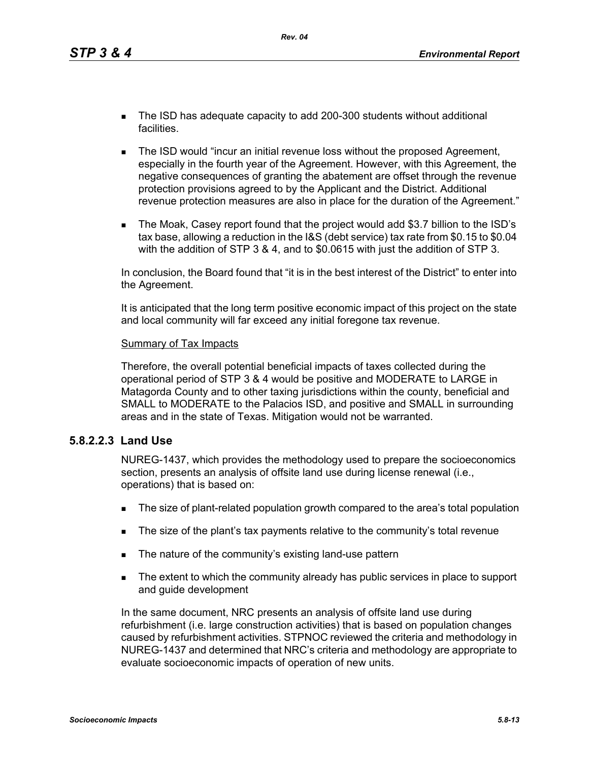- The ISD has adequate capacity to add 200-300 students without additional facilities.
- **The ISD would "incur an initial revenue loss without the proposed Agreement,** especially in the fourth year of the Agreement. However, with this Agreement, the negative consequences of granting the abatement are offset through the revenue protection provisions agreed to by the Applicant and the District. Additional revenue protection measures are also in place for the duration of the Agreement."
- The Moak, Casey report found that the project would add \$3.7 billion to the ISD's tax base, allowing a reduction in the I&S (debt service) tax rate from \$0.15 to \$0.04 with the addition of STP 3 & 4, and to \$0.0615 with just the addition of STP 3.

In conclusion, the Board found that "it is in the best interest of the District" to enter into the Agreement.

It is anticipated that the long term positive economic impact of this project on the state and local community will far exceed any initial foregone tax revenue.

#### Summary of Tax Impacts

Therefore, the overall potential beneficial impacts of taxes collected during the operational period of STP 3 & 4 would be positive and MODERATE to LARGE in Matagorda County and to other taxing jurisdictions within the county, beneficial and SMALL to MODERATE to the Palacios ISD, and positive and SMALL in surrounding areas and in the state of Texas. Mitigation would not be warranted.

### **5.8.2.2.3 Land Use**

NUREG-1437, which provides the methodology used to prepare the socioeconomics section, presents an analysis of offsite land use during license renewal (i.e., operations) that is based on:

- The size of plant-related population growth compared to the area's total population
- The size of the plant's tax payments relative to the community's total revenue
- The nature of the community's existing land-use pattern
- The extent to which the community already has public services in place to support and guide development

In the same document, NRC presents an analysis of offsite land use during refurbishment (i.e. large construction activities) that is based on population changes caused by refurbishment activities. STPNOC reviewed the criteria and methodology in NUREG-1437 and determined that NRC's criteria and methodology are appropriate to evaluate socioeconomic impacts of operation of new units.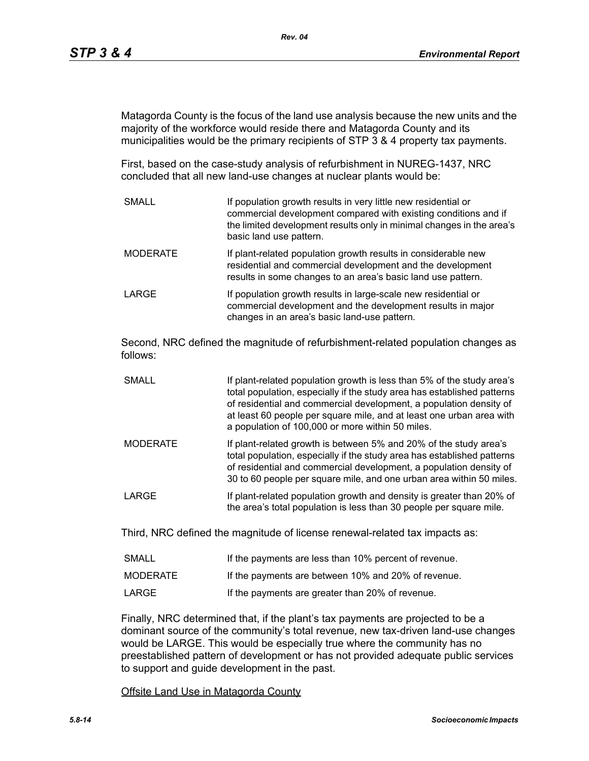Matagorda County is the focus of the land use analysis because the new units and the majority of the workforce would reside there and Matagorda County and its municipalities would be the primary recipients of STP 3 & 4 property tax payments.

First, based on the case-study analysis of refurbishment in NUREG-1437, NRC concluded that all new land-use changes at nuclear plants would be:

SMALL **If population growth results in very little new residential or** commercial development compared with existing conditions and if the limited development results only in minimal changes in the area's basic land use pattern. MODERATE **If plant-related population growth results in considerable new** residential and commercial development and the development results in some changes to an area's basic land use pattern. LARGE **If population growth results in large-scale new residential or** commercial development and the development results in major changes in an area's basic land-use pattern.

Second, NRC defined the magnitude of refurbishment-related population changes as follows:

- SMALL **If plant-related population growth is less than 5% of the study area's** total population, especially if the study area has established patterns of residential and commercial development, a population density of at least 60 people per square mile, and at least one urban area with a population of 100,000 or more within 50 miles.
- MODERATE If plant-related growth is between 5% and 20% of the study area's total population, especially if the study area has established patterns of residential and commercial development, a population density of 30 to 60 people per square mile, and one urban area within 50 miles.
- LARGE **If plant-related population growth and density is greater than 20% of** the area's total population is less than 30 people per square mile.

Third, NRC defined the magnitude of license renewal-related tax impacts as:

| <b>SMALL</b> | If the payments are less than 10% percent of revenue. |
|--------------|-------------------------------------------------------|
| MODERATE     | If the payments are between 10% and 20% of revenue.   |
| LARGE        | If the payments are greater than 20% of revenue.      |

Finally, NRC determined that, if the plant's tax payments are projected to be a dominant source of the community's total revenue, new tax-driven land-use changes would be LARGE. This would be especially true where the community has no preestablished pattern of development or has not provided adequate public services to support and guide development in the past.

Offsite Land Use in Matagorda County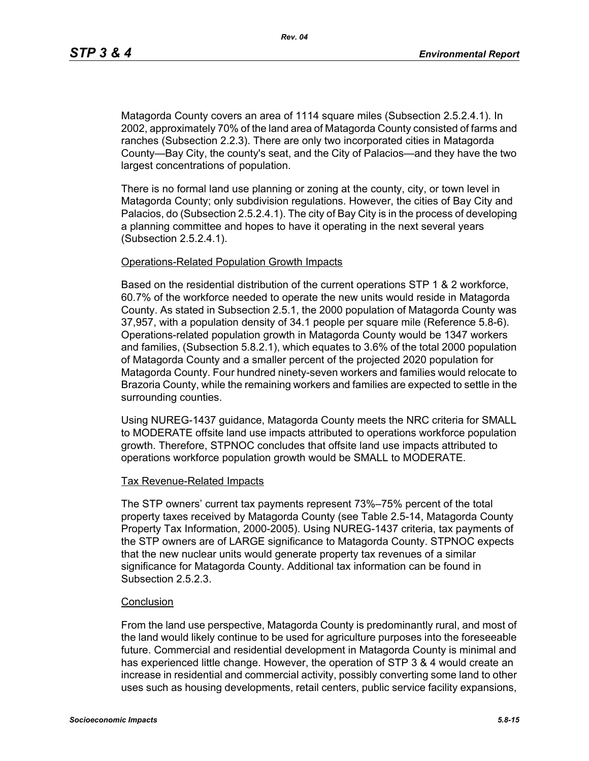Matagorda County covers an area of 1114 square miles (Subsection 2.5.2.4.1). In 2002, approximately 70% of the land area of Matagorda County consisted of farms and ranches (Subsection 2.2.3). There are only two incorporated cities in Matagorda County—Bay City, the county's seat, and the City of Palacios—and they have the two largest concentrations of population.

There is no formal land use planning or zoning at the county, city, or town level in Matagorda County; only subdivision regulations. However, the cities of Bay City and Palacios, do (Subsection 2.5.2.4.1). The city of Bay City is in the process of developing a planning committee and hopes to have it operating in the next several years (Subsection 2.5.2.4.1).

#### Operations-Related Population Growth Impacts

Based on the residential distribution of the current operations STP 1 & 2 workforce, 60.7% of the workforce needed to operate the new units would reside in Matagorda County. As stated in Subsection 2.5.1, the 2000 population of Matagorda County was 37,957, with a population density of 34.1 people per square mile (Reference 5.8-6). Operations-related population growth in Matagorda County would be 1347 workers and families, (Subsection 5.8.2.1), which equates to 3.6% of the total 2000 population of Matagorda County and a smaller percent of the projected 2020 population for Matagorda County. Four hundred ninety-seven workers and families would relocate to Brazoria County, while the remaining workers and families are expected to settle in the surrounding counties.

Using NUREG-1437 guidance, Matagorda County meets the NRC criteria for SMALL to MODERATE offsite land use impacts attributed to operations workforce population growth. Therefore, STPNOC concludes that offsite land use impacts attributed to operations workforce population growth would be SMALL to MODERATE.

#### Tax Revenue-Related Impacts

The STP owners' current tax payments represent 73%–75% percent of the total property taxes received by Matagorda County (see Table 2.5-14, Matagorda County Property Tax Information, 2000-2005). Using NUREG-1437 criteria, tax payments of the STP owners are of LARGE significance to Matagorda County. STPNOC expects that the new nuclear units would generate property tax revenues of a similar significance for Matagorda County. Additional tax information can be found in Subsection 2.5.2.3.

#### **Conclusion**

From the land use perspective, Matagorda County is predominantly rural, and most of the land would likely continue to be used for agriculture purposes into the foreseeable future. Commercial and residential development in Matagorda County is minimal and has experienced little change. However, the operation of STP 3 & 4 would create an increase in residential and commercial activity, possibly converting some land to other uses such as housing developments, retail centers, public service facility expansions,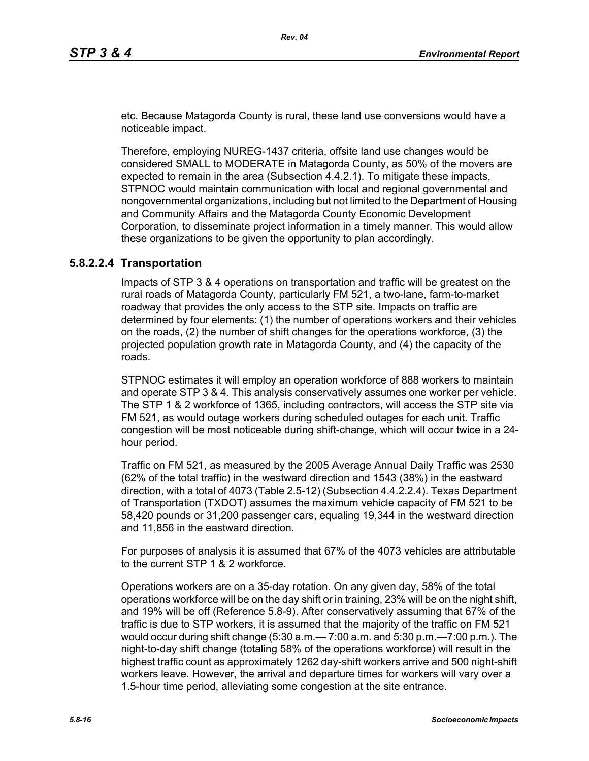etc. Because Matagorda County is rural, these land use conversions would have a noticeable impact.

Therefore, employing NUREG-1437 criteria, offsite land use changes would be considered SMALL to MODERATE in Matagorda County, as 50% of the movers are expected to remain in the area (Subsection 4.4.2.1). To mitigate these impacts, STPNOC would maintain communication with local and regional governmental and nongovernmental organizations, including but not limited to the Department of Housing and Community Affairs and the Matagorda County Economic Development Corporation, to disseminate project information in a timely manner. This would allow these organizations to be given the opportunity to plan accordingly.

### **5.8.2.2.4 Transportation**

Impacts of STP 3 & 4 operations on transportation and traffic will be greatest on the rural roads of Matagorda County, particularly FM 521, a two-lane, farm-to-market roadway that provides the only access to the STP site. Impacts on traffic are determined by four elements: (1) the number of operations workers and their vehicles on the roads, (2) the number of shift changes for the operations workforce, (3) the projected population growth rate in Matagorda County, and (4) the capacity of the roads.

STPNOC estimates it will employ an operation workforce of 888 workers to maintain and operate STP 3 & 4. This analysis conservatively assumes one worker per vehicle. The STP 1 & 2 workforce of 1365, including contractors, will access the STP site via FM 521, as would outage workers during scheduled outages for each unit. Traffic congestion will be most noticeable during shift-change, which will occur twice in a 24 hour period.

Traffic on FM 521, as measured by the 2005 Average Annual Daily Traffic was 2530 (62% of the total traffic) in the westward direction and 1543 (38%) in the eastward direction, with a total of 4073 (Table 2.5-12) (Subsection 4.4.2.2.4). Texas Department of Transportation (TXDOT) assumes the maximum vehicle capacity of FM 521 to be 58,420 pounds or 31,200 passenger cars, equaling 19,344 in the westward direction and 11,856 in the eastward direction.

For purposes of analysis it is assumed that 67% of the 4073 vehicles are attributable to the current STP 1 & 2 workforce.

Operations workers are on a 35-day rotation. On any given day, 58% of the total operations workforce will be on the day shift or in training, 23% will be on the night shift, and 19% will be off (Reference 5.8-9). After conservatively assuming that 67% of the traffic is due to STP workers, it is assumed that the majority of the traffic on FM 521 would occur during shift change (5:30 a.m.— 7:00 a.m. and 5:30 p.m.—7:00 p.m.). The night-to-day shift change (totaling 58% of the operations workforce) will result in the highest traffic count as approximately 1262 day-shift workers arrive and 500 night-shift workers leave. However, the arrival and departure times for workers will vary over a 1.5-hour time period, alleviating some congestion at the site entrance.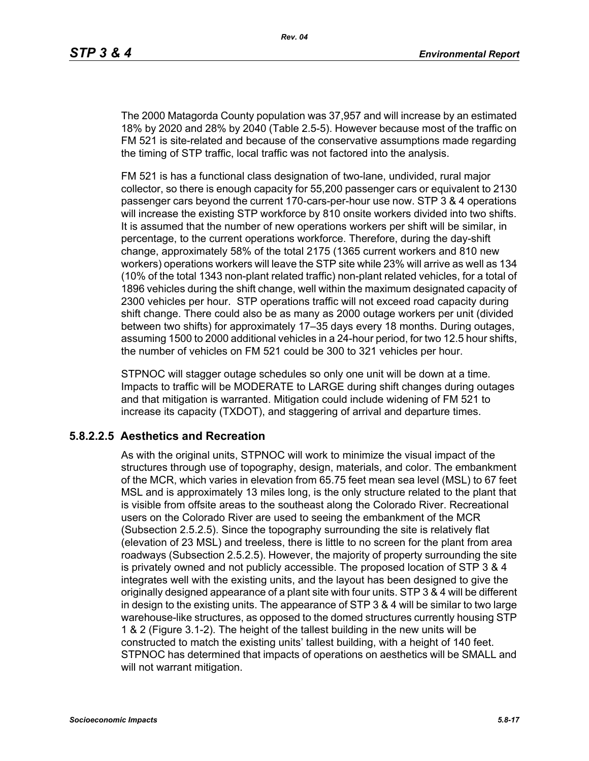The 2000 Matagorda County population was 37,957 and will increase by an estimated 18% by 2020 and 28% by 2040 (Table 2.5-5). However because most of the traffic on FM 521 is site-related and because of the conservative assumptions made regarding the timing of STP traffic, local traffic was not factored into the analysis.

FM 521 is has a functional class designation of two-lane, undivided, rural major collector, so there is enough capacity for 55,200 passenger cars or equivalent to 2130 passenger cars beyond the current 170-cars-per-hour use now. STP 3 & 4 operations will increase the existing STP workforce by 810 onsite workers divided into two shifts. It is assumed that the number of new operations workers per shift will be similar, in percentage, to the current operations workforce. Therefore, during the day-shift change, approximately 58% of the total 2175 (1365 current workers and 810 new workers) operations workers will leave the STP site while 23% will arrive as well as 134 (10% of the total 1343 non-plant related traffic) non-plant related vehicles, for a total of 1896 vehicles during the shift change, well within the maximum designated capacity of 2300 vehicles per hour. STP operations traffic will not exceed road capacity during shift change. There could also be as many as 2000 outage workers per unit (divided between two shifts) for approximately 17–35 days every 18 months. During outages, assuming 1500 to 2000 additional vehicles in a 24-hour period, for two 12.5 hour shifts, the number of vehicles on FM 521 could be 300 to 321 vehicles per hour.

STPNOC will stagger outage schedules so only one unit will be down at a time. Impacts to traffic will be MODERATE to LARGE during shift changes during outages and that mitigation is warranted. Mitigation could include widening of FM 521 to increase its capacity (TXDOT), and staggering of arrival and departure times.

### **5.8.2.2.5 Aesthetics and Recreation**

As with the original units, STPNOC will work to minimize the visual impact of the structures through use of topography, design, materials, and color. The embankment of the MCR, which varies in elevation from 65.75 feet mean sea level (MSL) to 67 feet MSL and is approximately 13 miles long, is the only structure related to the plant that is visible from offsite areas to the southeast along the Colorado River. Recreational users on the Colorado River are used to seeing the embankment of the MCR (Subsection 2.5.2.5). Since the topography surrounding the site is relatively flat (elevation of 23 MSL) and treeless, there is little to no screen for the plant from area roadways (Subsection 2.5.2.5). However, the majority of property surrounding the site is privately owned and not publicly accessible. The proposed location of STP 3 & 4 integrates well with the existing units, and the layout has been designed to give the originally designed appearance of a plant site with four units. STP 3 & 4 will be different in design to the existing units. The appearance of STP 3 & 4 will be similar to two large warehouse-like structures, as opposed to the domed structures currently housing STP 1 & 2 (Figure 3.1-2). The height of the tallest building in the new units will be constructed to match the existing units' tallest building, with a height of 140 feet. STPNOC has determined that impacts of operations on aesthetics will be SMALL and will not warrant mitigation.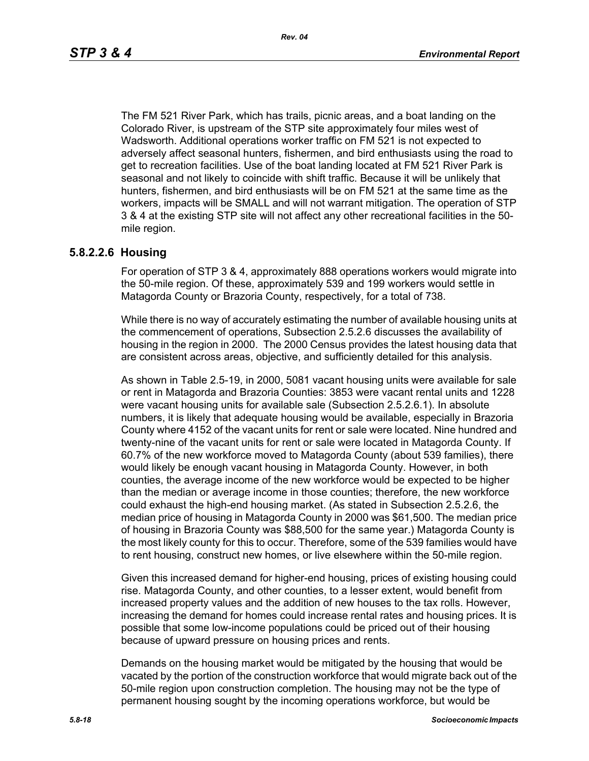The FM 521 River Park, which has trails, picnic areas, and a boat landing on the Colorado River, is upstream of the STP site approximately four miles west of Wadsworth. Additional operations worker traffic on FM 521 is not expected to adversely affect seasonal hunters, fishermen, and bird enthusiasts using the road to get to recreation facilities. Use of the boat landing located at FM 521 River Park is seasonal and not likely to coincide with shift traffic. Because it will be unlikely that hunters, fishermen, and bird enthusiasts will be on FM 521 at the same time as the workers, impacts will be SMALL and will not warrant mitigation. The operation of STP 3 & 4 at the existing STP site will not affect any other recreational facilities in the 50 mile region.

#### **5.8.2.2.6 Housing**

For operation of STP 3 & 4, approximately 888 operations workers would migrate into the 50-mile region. Of these, approximately 539 and 199 workers would settle in Matagorda County or Brazoria County, respectively, for a total of 738.

While there is no way of accurately estimating the number of available housing units at the commencement of operations, Subsection 2.5.2.6 discusses the availability of housing in the region in 2000. The 2000 Census provides the latest housing data that are consistent across areas, objective, and sufficiently detailed for this analysis.

As shown in Table 2.5-19, in 2000, 5081 vacant housing units were available for sale or rent in Matagorda and Brazoria Counties: 3853 were vacant rental units and 1228 were vacant housing units for available sale (Subsection 2.5.2.6.1). In absolute numbers, it is likely that adequate housing would be available, especially in Brazoria County where 4152 of the vacant units for rent or sale were located. Nine hundred and twenty-nine of the vacant units for rent or sale were located in Matagorda County. If 60.7% of the new workforce moved to Matagorda County (about 539 families), there would likely be enough vacant housing in Matagorda County. However, in both counties, the average income of the new workforce would be expected to be higher than the median or average income in those counties; therefore, the new workforce could exhaust the high-end housing market. (As stated in Subsection 2.5.2.6, the median price of housing in Matagorda County in 2000 was \$61,500. The median price of housing in Brazoria County was \$88,500 for the same year.) Matagorda County is the most likely county for this to occur. Therefore, some of the 539 families would have to rent housing, construct new homes, or live elsewhere within the 50-mile region.

Given this increased demand for higher-end housing, prices of existing housing could rise. Matagorda County, and other counties, to a lesser extent, would benefit from increased property values and the addition of new houses to the tax rolls. However, increasing the demand for homes could increase rental rates and housing prices. It is possible that some low-income populations could be priced out of their housing because of upward pressure on housing prices and rents.

Demands on the housing market would be mitigated by the housing that would be vacated by the portion of the construction workforce that would migrate back out of the 50-mile region upon construction completion. The housing may not be the type of permanent housing sought by the incoming operations workforce, but would be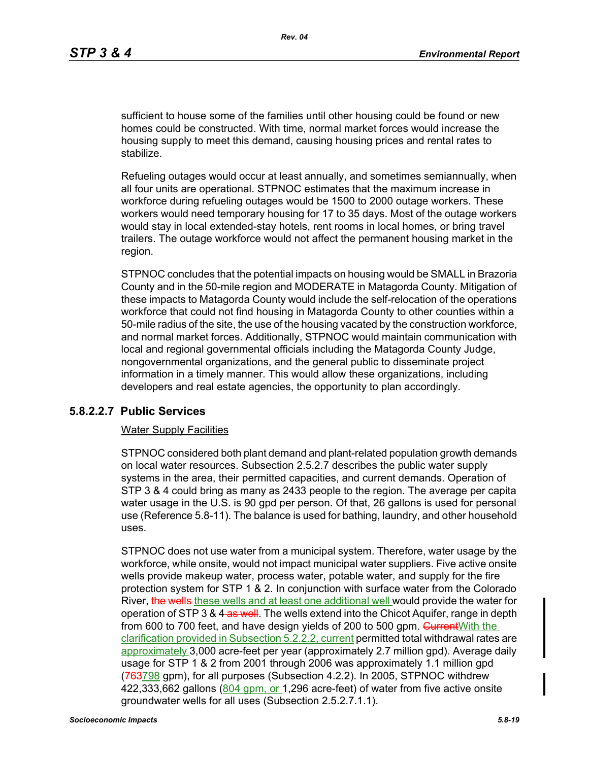sufficient to house some of the families until other housing could be found or new homes could be constructed. With time, normal market forces would increase the housing supply to meet this demand, causing housing prices and rental rates to stabilize.

Refueling outages would occur at least annually, and sometimes semiannually, when all four units are operational. STPNOC estimates that the maximum increase in workforce during refueling outages would be 1500 to 2000 outage workers. These workers would need temporary housing for 17 to 35 days. Most of the outage workers would stay in local extended-stay hotels, rent rooms in local homes, or bring travel trailers. The outage workforce would not affect the permanent housing market in the region.

STPNOC concludes that the potential impacts on housing would be SMALL in Brazoria County and in the 50-mile region and MODERATE in Matagorda County. Mitigation of these impacts to Matagorda County would include the self-relocation of the operations workforce that could not find housing in Matagorda County to other counties within a 50-mile radius of the site, the use of the housing vacated by the construction workforce, and normal market forces. Additionally, STPNOC would maintain communication with local and regional governmental officials including the Matagorda County Judge, nongovernmental organizations, and the general public to disseminate project information in a timely manner. This would allow these organizations, including developers and real estate agencies, the opportunity to plan accordingly.

### **5.8.2.2.7 Public Services**

### Water Supply Facilities

STPNOC considered both plant demand and plant-related population growth demands on local water resources. Subsection 2.5.2.7 describes the public water supply systems in the area, their permitted capacities, and current demands. Operation of STP 3 & 4 could bring as many as 2433 people to the region. The average per capita water usage in the U.S. is 90 gpd per person. Of that, 26 gallons is used for personal use (Reference 5.8-11). The balance is used for bathing, laundry, and other household uses.

STPNOC does not use water from a municipal system. Therefore, water usage by the workforce, while onsite, would not impact municipal water suppliers. Five active onsite wells provide makeup water, process water, potable water, and supply for the fire protection system for STP 1 & 2. In conjunction with surface water from the Colorado River, the wells-these wells and at least one additional well would provide the water for operation of STP 3 & 4-as well. The wells extend into the Chicot Aquifer, range in depth from 600 to 700 feet, and have design yields of 200 to 500 gpm. Current With the clarification provided in Subsection 5.2.2.2, current permitted total withdrawal rates are approximately 3,000 acre-feet per year (approximately 2.7 million gpd). Average daily usage for STP 1 & 2 from 2001 through 2006 was approximately 1.1 million gpd (763798 gpm), for all purposes (Subsection 4.2.2). In 2005, STPNOC withdrew 422,333,662 gallons (804 gpm, or 1,296 acre-feet) of water from five active onsite groundwater wells for all uses (Subsection 2.5.2.7.1.1).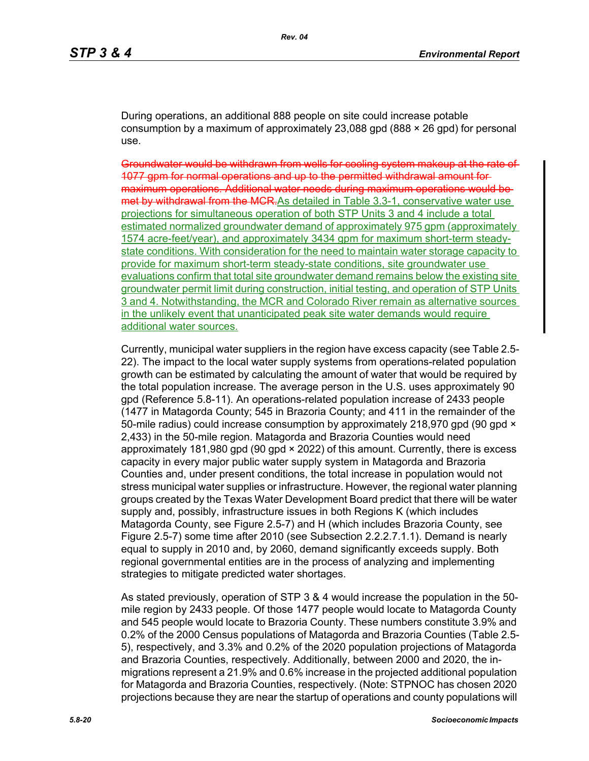During operations, an additional 888 people on site could increase potable consumption by a maximum of approximately 23,088 gpd (888  $\times$  26 gpd) for personal use.

Groundwater would be withdrawn from wells for cooling system makeup at the rate of 1077 gpm for normal operations and up to the permitted withdrawal amount for maximum operations. Additional water needs during maximum operations would be met by withdrawal from the MCR.As detailed in Table 3.3-1, conservative water use projections for simultaneous operation of both STP Units 3 and 4 include a total estimated normalized groundwater demand of approximately 975 gpm (approximately 1574 acre-feet/year), and approximately 3434 gpm for maximum short-term steadystate conditions. With consideration for the need to maintain water storage capacity to provide for maximum short-term steady-state conditions, site groundwater use evaluations confirm that total site groundwater demand remains below the existing site groundwater permit limit during construction, initial testing, and operation of STP Units 3 and 4. Notwithstanding, the MCR and Colorado River remain as alternative sources in the unlikely event that unanticipated peak site water demands would require additional water sources.

Currently, municipal water suppliers in the region have excess capacity (see Table 2.5- 22). The impact to the local water supply systems from operations-related population growth can be estimated by calculating the amount of water that would be required by the total population increase. The average person in the U.S. uses approximately 90 gpd (Reference 5.8-11). An operations-related population increase of 2433 people (1477 in Matagorda County; 545 in Brazoria County; and 411 in the remainder of the 50-mile radius) could increase consumption by approximately 218,970 gpd (90 gpd  $\times$ 2,433) in the 50-mile region. Matagorda and Brazoria Counties would need approximately 181,980 gpd (90 gpd × 2022) of this amount. Currently, there is excess capacity in every major public water supply system in Matagorda and Brazoria Counties and, under present conditions, the total increase in population would not stress municipal water supplies or infrastructure. However, the regional water planning groups created by the Texas Water Development Board predict that there will be water supply and, possibly, infrastructure issues in both Regions K (which includes Matagorda County, see Figure 2.5-7) and H (which includes Brazoria County, see Figure 2.5-7) some time after 2010 (see Subsection 2.2.2.7.1.1). Demand is nearly equal to supply in 2010 and, by 2060, demand significantly exceeds supply. Both regional governmental entities are in the process of analyzing and implementing strategies to mitigate predicted water shortages.

As stated previously, operation of STP 3 & 4 would increase the population in the 50 mile region by 2433 people. Of those 1477 people would locate to Matagorda County and 545 people would locate to Brazoria County. These numbers constitute 3.9% and 0.2% of the 2000 Census populations of Matagorda and Brazoria Counties (Table 2.5- 5), respectively, and 3.3% and 0.2% of the 2020 population projections of Matagorda and Brazoria Counties, respectively. Additionally, between 2000 and 2020, the inmigrations represent a 21.9% and 0.6% increase in the projected additional population for Matagorda and Brazoria Counties, respectively. (Note: STPNOC has chosen 2020 projections because they are near the startup of operations and county populations will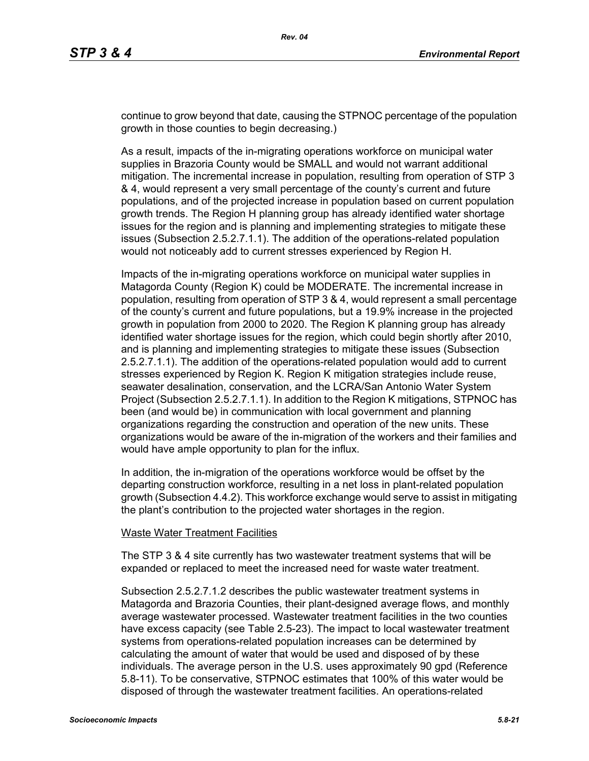continue to grow beyond that date, causing the STPNOC percentage of the population growth in those counties to begin decreasing.)

As a result, impacts of the in-migrating operations workforce on municipal water supplies in Brazoria County would be SMALL and would not warrant additional mitigation. The incremental increase in population, resulting from operation of STP 3 & 4, would represent a very small percentage of the county's current and future populations, and of the projected increase in population based on current population growth trends. The Region H planning group has already identified water shortage issues for the region and is planning and implementing strategies to mitigate these issues (Subsection 2.5.2.7.1.1). The addition of the operations-related population would not noticeably add to current stresses experienced by Region H.

Impacts of the in-migrating operations workforce on municipal water supplies in Matagorda County (Region K) could be MODERATE. The incremental increase in population, resulting from operation of STP 3 & 4, would represent a small percentage of the county's current and future populations, but a 19.9% increase in the projected growth in population from 2000 to 2020. The Region K planning group has already identified water shortage issues for the region, which could begin shortly after 2010, and is planning and implementing strategies to mitigate these issues (Subsection 2.5.2.7.1.1). The addition of the operations-related population would add to current stresses experienced by Region K. Region K mitigation strategies include reuse, seawater desalination, conservation, and the LCRA/San Antonio Water System Project (Subsection 2.5.2.7.1.1). In addition to the Region K mitigations, STPNOC has been (and would be) in communication with local government and planning organizations regarding the construction and operation of the new units. These organizations would be aware of the in-migration of the workers and their families and would have ample opportunity to plan for the influx.

In addition, the in-migration of the operations workforce would be offset by the departing construction workforce, resulting in a net loss in plant-related population growth (Subsection 4.4.2). This workforce exchange would serve to assist in mitigating the plant's contribution to the projected water shortages in the region.

#### Waste Water Treatment Facilities

The STP 3 & 4 site currently has two wastewater treatment systems that will be expanded or replaced to meet the increased need for waste water treatment.

Subsection 2.5.2.7.1.2 describes the public wastewater treatment systems in Matagorda and Brazoria Counties, their plant-designed average flows, and monthly average wastewater processed. Wastewater treatment facilities in the two counties have excess capacity (see Table 2.5-23). The impact to local wastewater treatment systems from operations-related population increases can be determined by calculating the amount of water that would be used and disposed of by these individuals. The average person in the U.S. uses approximately 90 gpd (Reference 5.8-11). To be conservative, STPNOC estimates that 100% of this water would be disposed of through the wastewater treatment facilities. An operations-related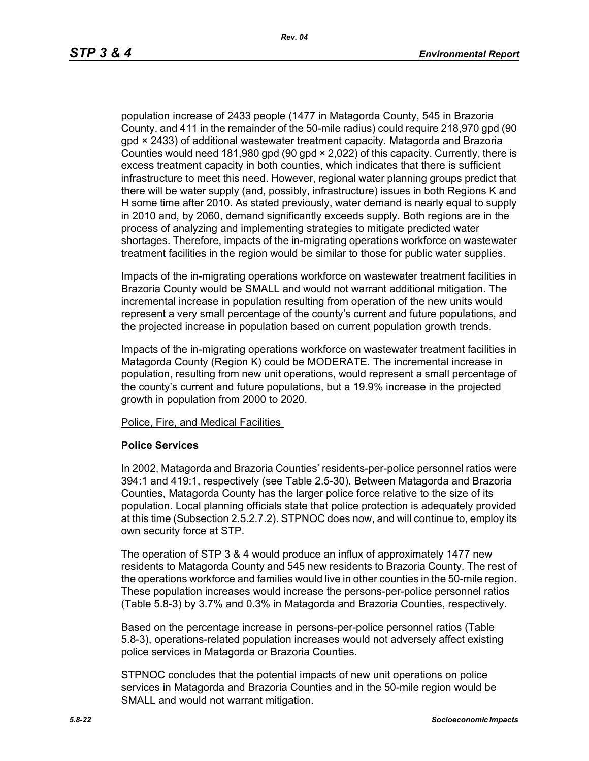population increase of 2433 people (1477 in Matagorda County, 545 in Brazoria County, and 411 in the remainder of the 50-mile radius) could require 218,970 gpd (90 gpd × 2433) of additional wastewater treatment capacity. Matagorda and Brazoria Counties would need 181,980 gpd (90 gpd × 2,022) of this capacity. Currently, there is excess treatment capacity in both counties, which indicates that there is sufficient infrastructure to meet this need. However, regional water planning groups predict that there will be water supply (and, possibly, infrastructure) issues in both Regions K and H some time after 2010. As stated previously, water demand is nearly equal to supply in 2010 and, by 2060, demand significantly exceeds supply. Both regions are in the process of analyzing and implementing strategies to mitigate predicted water shortages. Therefore, impacts of the in-migrating operations workforce on wastewater treatment facilities in the region would be similar to those for public water supplies.

Impacts of the in-migrating operations workforce on wastewater treatment facilities in Brazoria County would be SMALL and would not warrant additional mitigation. The incremental increase in population resulting from operation of the new units would represent a very small percentage of the county's current and future populations, and the projected increase in population based on current population growth trends.

Impacts of the in-migrating operations workforce on wastewater treatment facilities in Matagorda County (Region K) could be MODERATE. The incremental increase in population, resulting from new unit operations, would represent a small percentage of the county's current and future populations, but a 19.9% increase in the projected growth in population from 2000 to 2020.

Police, Fire, and Medical Facilities

### **Police Services**

In 2002, Matagorda and Brazoria Counties' residents-per-police personnel ratios were 394:1 and 419:1, respectively (see Table 2.5-30). Between Matagorda and Brazoria Counties, Matagorda County has the larger police force relative to the size of its population. Local planning officials state that police protection is adequately provided at this time (Subsection 2.5.2.7.2). STPNOC does now, and will continue to, employ its own security force at STP.

The operation of STP 3 & 4 would produce an influx of approximately 1477 new residents to Matagorda County and 545 new residents to Brazoria County. The rest of the operations workforce and families would live in other counties in the 50-mile region. These population increases would increase the persons-per-police personnel ratios (Table 5.8-3) by 3.7% and 0.3% in Matagorda and Brazoria Counties, respectively.

Based on the percentage increase in persons-per-police personnel ratios (Table 5.8-3), operations-related population increases would not adversely affect existing police services in Matagorda or Brazoria Counties.

STPNOC concludes that the potential impacts of new unit operations on police services in Matagorda and Brazoria Counties and in the 50-mile region would be SMALL and would not warrant mitigation.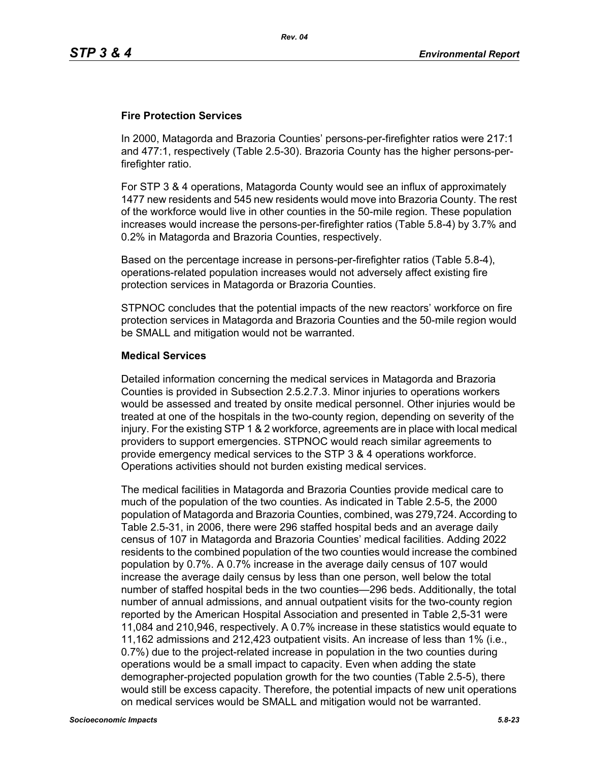### **Fire Protection Services**

In 2000, Matagorda and Brazoria Counties' persons-per-firefighter ratios were 217:1 and 477:1, respectively (Table 2.5-30). Brazoria County has the higher persons-perfirefighter ratio.

For STP 3 & 4 operations, Matagorda County would see an influx of approximately 1477 new residents and 545 new residents would move into Brazoria County. The rest of the workforce would live in other counties in the 50-mile region. These population increases would increase the persons-per-firefighter ratios (Table 5.8-4) by 3.7% and 0.2% in Matagorda and Brazoria Counties, respectively.

Based on the percentage increase in persons-per-firefighter ratios (Table 5.8-4), operations-related population increases would not adversely affect existing fire protection services in Matagorda or Brazoria Counties.

STPNOC concludes that the potential impacts of the new reactors' workforce on fire protection services in Matagorda and Brazoria Counties and the 50-mile region would be SMALL and mitigation would not be warranted.

### **Medical Services**

Detailed information concerning the medical services in Matagorda and Brazoria Counties is provided in Subsection 2.5.2.7.3. Minor injuries to operations workers would be assessed and treated by onsite medical personnel. Other injuries would be treated at one of the hospitals in the two-county region, depending on severity of the injury. For the existing STP 1 & 2 workforce, agreements are in place with local medical providers to support emergencies. STPNOC would reach similar agreements to provide emergency medical services to the STP 3 & 4 operations workforce. Operations activities should not burden existing medical services.

The medical facilities in Matagorda and Brazoria Counties provide medical care to much of the population of the two counties. As indicated in Table 2.5-5, the 2000 population of Matagorda and Brazoria Counties, combined, was 279,724. According to Table 2.5-31, in 2006, there were 296 staffed hospital beds and an average daily census of 107 in Matagorda and Brazoria Counties' medical facilities. Adding 2022 residents to the combined population of the two counties would increase the combined population by 0.7%. A 0.7% increase in the average daily census of 107 would increase the average daily census by less than one person, well below the total number of staffed hospital beds in the two counties—296 beds. Additionally, the total number of annual admissions, and annual outpatient visits for the two-county region reported by the American Hospital Association and presented in Table 2,5-31 were 11,084 and 210,946, respectively. A 0.7% increase in these statistics would equate to 11,162 admissions and 212,423 outpatient visits. An increase of less than 1% (i.e., 0.7%) due to the project-related increase in population in the two counties during operations would be a small impact to capacity. Even when adding the state demographer-projected population growth for the two counties (Table 2.5-5), there would still be excess capacity. Therefore, the potential impacts of new unit operations on medical services would be SMALL and mitigation would not be warranted.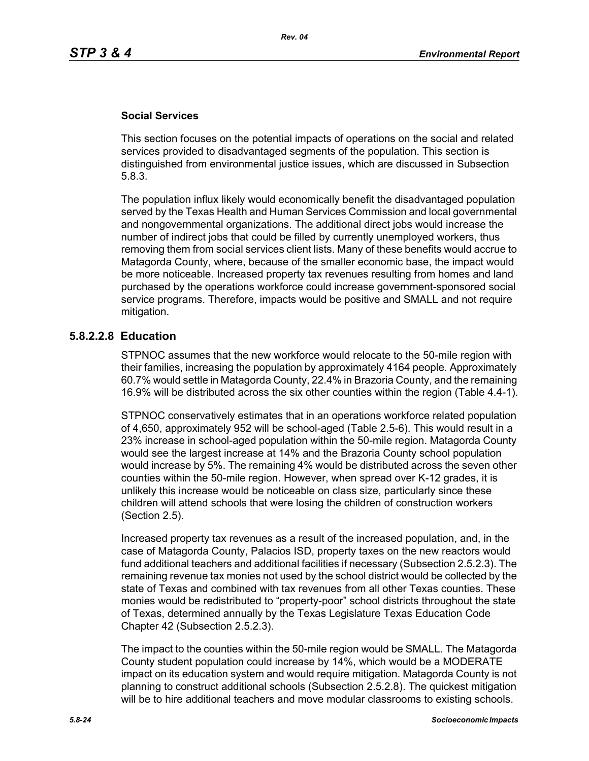### **Social Services**

This section focuses on the potential impacts of operations on the social and related services provided to disadvantaged segments of the population. This section is distinguished from environmental justice issues, which are discussed in Subsection 5.8.3.

The population influx likely would economically benefit the disadvantaged population served by the Texas Health and Human Services Commission and local governmental and nongovernmental organizations. The additional direct jobs would increase the number of indirect jobs that could be filled by currently unemployed workers, thus removing them from social services client lists. Many of these benefits would accrue to Matagorda County, where, because of the smaller economic base, the impact would be more noticeable. Increased property tax revenues resulting from homes and land purchased by the operations workforce could increase government-sponsored social service programs. Therefore, impacts would be positive and SMALL and not require mitigation.

### **5.8.2.2.8 Education**

STPNOC assumes that the new workforce would relocate to the 50-mile region with their families, increasing the population by approximately 4164 people. Approximately 60.7% would settle in Matagorda County, 22.4% in Brazoria County, and the remaining 16.9% will be distributed across the six other counties within the region (Table 4.4-1).

STPNOC conservatively estimates that in an operations workforce related population of 4,650, approximately 952 will be school-aged (Table 2.5-6). This would result in a 23% increase in school-aged population within the 50-mile region. Matagorda County would see the largest increase at 14% and the Brazoria County school population would increase by 5%. The remaining 4% would be distributed across the seven other counties within the 50-mile region. However, when spread over K-12 grades, it is unlikely this increase would be noticeable on class size, particularly since these children will attend schools that were losing the children of construction workers (Section 2.5).

Increased property tax revenues as a result of the increased population, and, in the case of Matagorda County, Palacios ISD, property taxes on the new reactors would fund additional teachers and additional facilities if necessary (Subsection 2.5.2.3). The remaining revenue tax monies not used by the school district would be collected by the state of Texas and combined with tax revenues from all other Texas counties. These monies would be redistributed to "property-poor" school districts throughout the state of Texas, determined annually by the Texas Legislature Texas Education Code Chapter 42 (Subsection 2.5.2.3).

The impact to the counties within the 50-mile region would be SMALL. The Matagorda County student population could increase by 14%, which would be a MODERATE impact on its education system and would require mitigation. Matagorda County is not planning to construct additional schools (Subsection 2.5.2.8). The quickest mitigation will be to hire additional teachers and move modular classrooms to existing schools.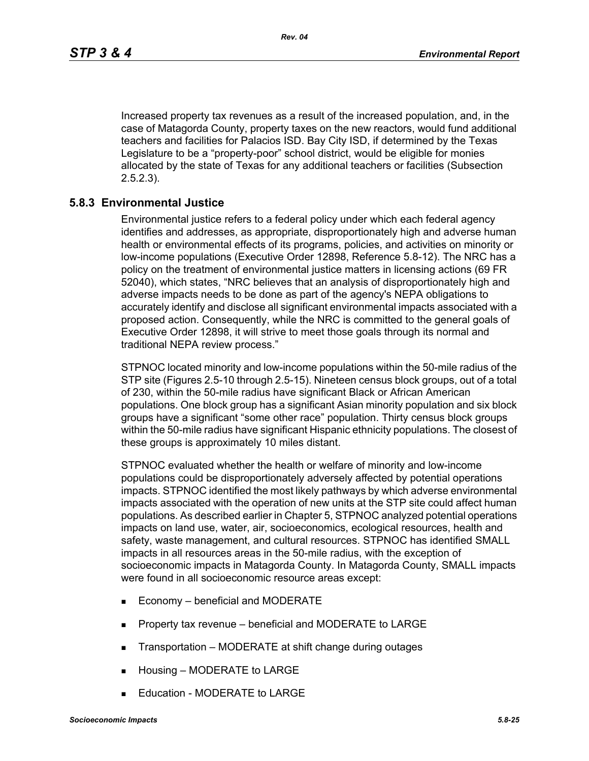Increased property tax revenues as a result of the increased population, and, in the case of Matagorda County, property taxes on the new reactors, would fund additional teachers and facilities for Palacios ISD. Bay City ISD, if determined by the Texas Legislature to be a "property-poor" school district, would be eligible for monies allocated by the state of Texas for any additional teachers or facilities (Subsection 2.5.2.3).

### **5.8.3 Environmental Justice**

Environmental justice refers to a federal policy under which each federal agency identifies and addresses, as appropriate, disproportionately high and adverse human health or environmental effects of its programs, policies, and activities on minority or low-income populations (Executive Order 12898, Reference 5.8-12). The NRC has a policy on the treatment of environmental justice matters in licensing actions (69 FR 52040), which states, "NRC believes that an analysis of disproportionately high and adverse impacts needs to be done as part of the agency's NEPA obligations to accurately identify and disclose all significant environmental impacts associated with a proposed action. Consequently, while the NRC is committed to the general goals of Executive Order 12898, it will strive to meet those goals through its normal and traditional NEPA review process."

STPNOC located minority and low-income populations within the 50-mile radius of the STP site (Figures 2.5-10 through 2.5-15). Nineteen census block groups, out of a total of 230, within the 50-mile radius have significant Black or African American populations. One block group has a significant Asian minority population and six block groups have a significant "some other race" population. Thirty census block groups within the 50-mile radius have significant Hispanic ethnicity populations. The closest of these groups is approximately 10 miles distant.

STPNOC evaluated whether the health or welfare of minority and low-income populations could be disproportionately adversely affected by potential operations impacts. STPNOC identified the most likely pathways by which adverse environmental impacts associated with the operation of new units at the STP site could affect human populations. As described earlier in Chapter 5, STPNOC analyzed potential operations impacts on land use, water, air, socioeconomics, ecological resources, health and safety, waste management, and cultural resources. STPNOC has identified SMALL impacts in all resources areas in the 50-mile radius, with the exception of socioeconomic impacts in Matagorda County. In Matagorda County, SMALL impacts were found in all socioeconomic resource areas except:

- Economy beneficial and MODERATE
- **Property tax revenue beneficial and MODERATE to LARGE**
- Transportation MODERATE at shift change during outages
- **Housing MODERATE to LARGE**
- Education MODERATE to LARGE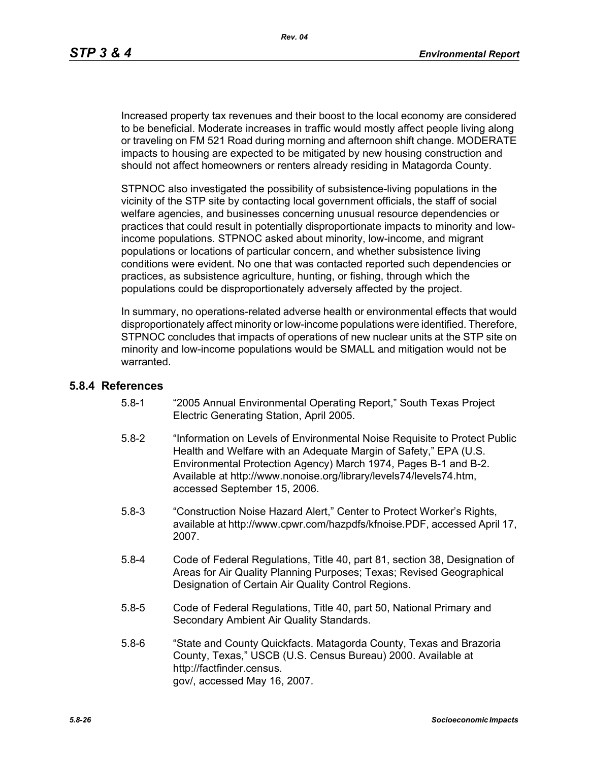Increased property tax revenues and their boost to the local economy are considered to be beneficial. Moderate increases in traffic would mostly affect people living along or traveling on FM 521 Road during morning and afternoon shift change. MODERATE impacts to housing are expected to be mitigated by new housing construction and should not affect homeowners or renters already residing in Matagorda County.

STPNOC also investigated the possibility of subsistence-living populations in the vicinity of the STP site by contacting local government officials, the staff of social welfare agencies, and businesses concerning unusual resource dependencies or practices that could result in potentially disproportionate impacts to minority and lowincome populations. STPNOC asked about minority, low-income, and migrant populations or locations of particular concern, and whether subsistence living conditions were evident. No one that was contacted reported such dependencies or practices, as subsistence agriculture, hunting, or fishing, through which the populations could be disproportionately adversely affected by the project.

In summary, no operations-related adverse health or environmental effects that would disproportionately affect minority or low-income populations were identified. Therefore, STPNOC concludes that impacts of operations of new nuclear units at the STP site on minority and low-income populations would be SMALL and mitigation would not be warranted.

### **5.8.4 References**

- 5.8-1 "2005 Annual Environmental Operating Report," South Texas Project Electric Generating Station, April 2005.
- 5.8-2 "Information on Levels of Environmental Noise Requisite to Protect Public Health and Welfare with an Adequate Margin of Safety," EPA (U.S. Environmental Protection Agency) March 1974, Pages B-1 and B-2. Available at http://www.nonoise.org/library/levels74/levels74.htm, accessed September 15, 2006.
- 5.8-3 "Construction Noise Hazard Alert," Center to Protect Worker's Rights, available at http://www.cpwr.com/hazpdfs/kfnoise.PDF, accessed April 17, 2007.
- 5.8-4 Code of Federal Regulations, Title 40, part 81, section 38, Designation of Areas for Air Quality Planning Purposes; Texas; Revised Geographical Designation of Certain Air Quality Control Regions.
- 5.8-5 Code of Federal Regulations, Title 40, part 50, National Primary and Secondary Ambient Air Quality Standards.
- 5.8-6 "State and County Quickfacts. Matagorda County, Texas and Brazoria County, Texas," USCB (U.S. Census Bureau) 2000. Available at http://factfinder.census. gov/, accessed May 16, 2007.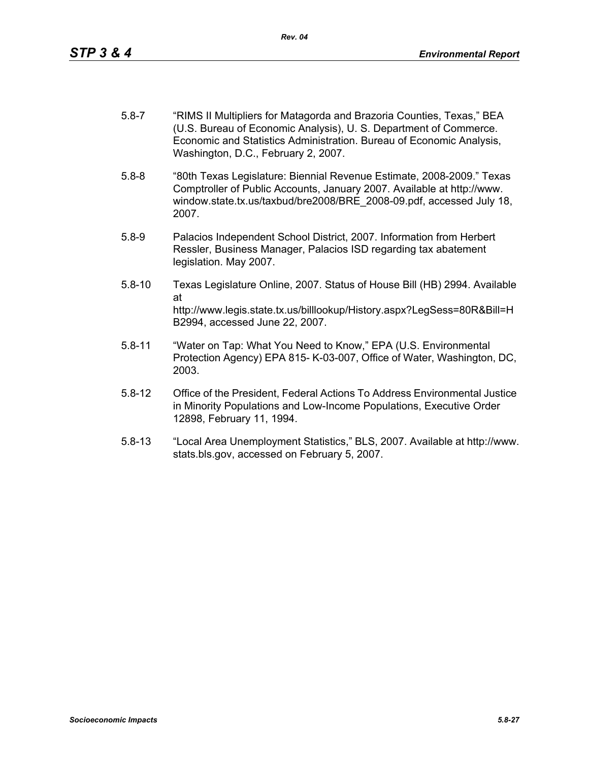- 5.8-7 "RIMS II Multipliers for Matagorda and Brazoria Counties, Texas," BEA (U.S. Bureau of Economic Analysis), U. S. Department of Commerce. Economic and Statistics Administration. Bureau of Economic Analysis, Washington, D.C., February 2, 2007.
- 5.8-8 "80th Texas Legislature: Biennial Revenue Estimate, 2008-2009." Texas Comptroller of Public Accounts, January 2007. Available at http://www. window.state.tx.us/taxbud/bre2008/BRE\_2008-09.pdf, accessed July 18, 2007.
- 5.8-9 Palacios Independent School District, 2007. Information from Herbert Ressler, Business Manager, Palacios ISD regarding tax abatement legislation. May 2007.
- 5.8-10 Texas Legislature Online, 2007. Status of House Bill (HB) 2994. Available at http://www.legis.state.tx.us/billlookup/History.aspx?LegSess=80R&Bill=H B2994, accessed June 22, 2007.
- 5.8-11 "Water on Tap: What You Need to Know," EPA (U.S. Environmental Protection Agency) EPA 815- K-03-007, Office of Water, Washington, DC, 2003.
- 5.8-12 Office of the President, Federal Actions To Address Environmental Justice in Minority Populations and Low-Income Populations, Executive Order 12898, February 11, 1994.
- 5.8-13 "Local Area Unemployment Statistics," BLS, 2007. Available at http://www. stats.bls.gov, accessed on February 5, 2007.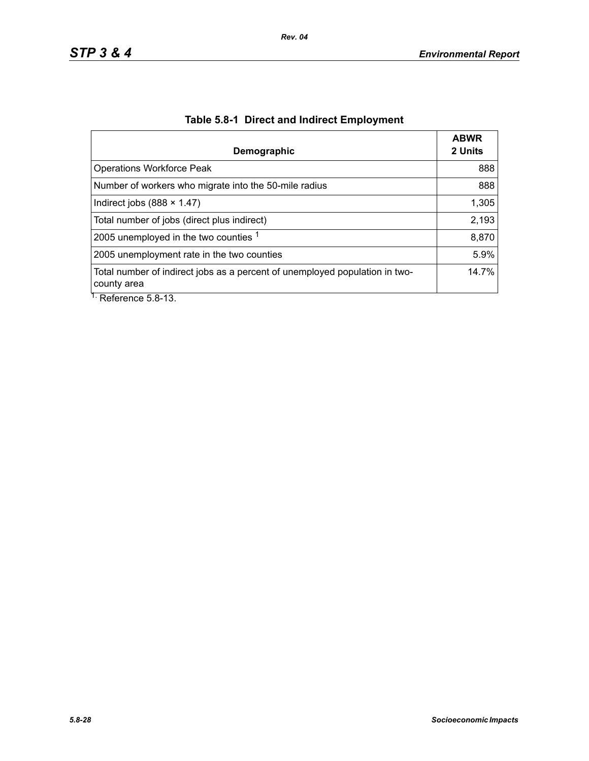| Demographic                                                                                | <b>ABWR</b><br>2 Units |
|--------------------------------------------------------------------------------------------|------------------------|
| <b>Operations Workforce Peak</b>                                                           | 888                    |
| Number of workers who migrate into the 50-mile radius                                      | 888                    |
| Indirect jobs $(888 \times 1.47)$                                                          | 1,305                  |
| Total number of jobs (direct plus indirect)                                                | 2,193                  |
| 2005 unemployed in the two counties 1                                                      | 8,870                  |
| 2005 unemployment rate in the two counties                                                 | 5.9%                   |
| Total number of indirect jobs as a percent of unemployed population in two-<br>county area | 14.7%                  |
| $\overline{1}$ . Deference E.O. 12                                                         |                        |

# **Table 5.8-1 Direct and Indirect Employment**

Reference 5.8-13.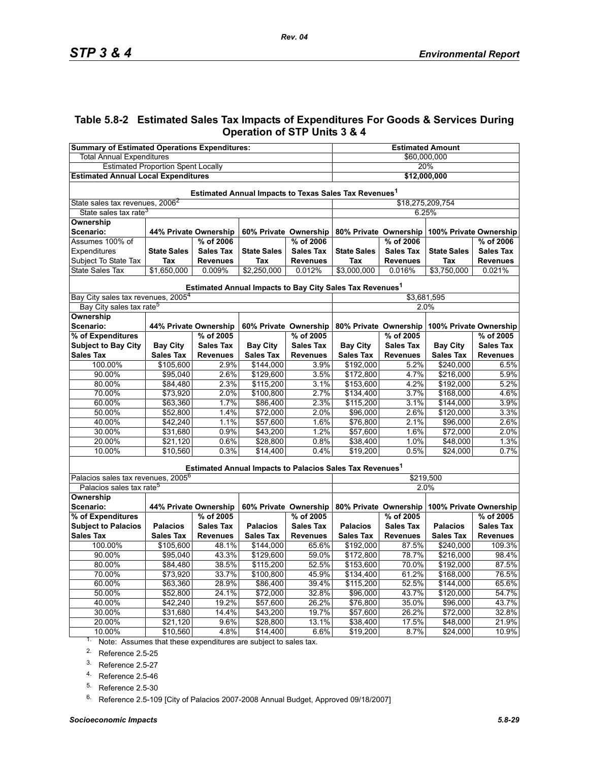### **Table 5.8-2 Estimated Sales Tax Impacts of Expenditures For Goods & Services During Operation of STP Units 3 & 4**

| <b>Summary of Estimated Operations Expenditures:</b>                 |                       |                       |                    | <b>Estimated Amount</b> |                                                                      |                  |                                              |                  |  |
|----------------------------------------------------------------------|-----------------------|-----------------------|--------------------|-------------------------|----------------------------------------------------------------------|------------------|----------------------------------------------|------------------|--|
| <b>Total Annual Expenditures</b>                                     |                       |                       |                    | \$60,000,000            |                                                                      |                  |                                              |                  |  |
| <b>Estimated Proportion Spent Locally</b>                            |                       |                       |                    | 20%                     |                                                                      |                  |                                              |                  |  |
| <b>Estimated Annual Local Expenditures</b>                           |                       |                       |                    | \$12,000,000            |                                                                      |                  |                                              |                  |  |
| Estimated Annual Impacts to Texas Sales Tax Revenues <sup>1</sup>    |                       |                       |                    |                         |                                                                      |                  |                                              |                  |  |
| State sales tax revenues, 2006 <sup>2</sup>                          |                       |                       |                    |                         | \$18,275,209,754                                                     |                  |                                              |                  |  |
| State sales tax rate <sup>3</sup>                                    |                       |                       |                    |                         |                                                                      | 6.25%            |                                              |                  |  |
| Ownership                                                            |                       |                       |                    |                         |                                                                      |                  |                                              |                  |  |
| Scenario:                                                            | 44% Private Ownership |                       |                    | 60% Private Ownership   | 80% Private Ownership<br>100% Private Ownership                      |                  |                                              |                  |  |
| Assumes 100% of                                                      |                       | % of 2006             |                    | % of 2006               | % of 2006<br>% of 2006                                               |                  |                                              |                  |  |
| Expenditures                                                         | <b>State Sales</b>    | <b>Sales Tax</b>      | <b>State Sales</b> | <b>Sales Tax</b>        | <b>State Sales</b>                                                   | <b>Sales Tax</b> | <b>State Sales</b>                           | <b>Sales Tax</b> |  |
| Subject To State Tax                                                 | Tax                   | <b>Revenues</b>       | Tax                | <b>Revenues</b>         | Tax                                                                  | <b>Revenues</b>  | Tax                                          | <b>Revenues</b>  |  |
| <b>State Sales Tax</b>                                               | \$1,650,000           | 0.009%                | \$2,250,000        | 0.012%                  | \$3,000,000                                                          | 0.016%           | \$3,750,000                                  | 0.021%           |  |
|                                                                      |                       |                       |                    |                         | Estimated Annual Impacts to Bay City Sales Tax Revenues <sup>1</sup> |                  |                                              |                  |  |
| Bay City sales tax revenues, 2005 <sup>4</sup>                       |                       |                       |                    |                         |                                                                      | \$3,681,595      |                                              |                  |  |
| Bay City sales tax rate <sup>5</sup>                                 |                       |                       |                    |                         |                                                                      | 2.0%             |                                              |                  |  |
| <b>Ownership</b><br>Scenario:                                        | 44% Private Ownership |                       |                    | 60% Private Ownership   |                                                                      |                  | 80% Private Ownership 100% Private Ownership |                  |  |
| % of Expenditures                                                    |                       | % of 2005             |                    | % of 2005               |                                                                      | % of 2005        |                                              | % of 2005        |  |
| <b>Subject to Bay City</b>                                           | <b>Bay City</b>       | <b>Sales Tax</b>      | <b>Bay City</b>    | <b>Sales Tax</b>        | <b>Bay City</b>                                                      | <b>Sales Tax</b> | <b>Bay City</b>                              | <b>Sales Tax</b> |  |
| <b>Sales Tax</b>                                                     | <b>Sales Tax</b>      | <b>Revenues</b>       | <b>Sales Tax</b>   | <b>Revenues</b>         | <b>Sales Tax</b>                                                     | <b>Revenues</b>  | <b>Sales Tax</b>                             | <b>Revenues</b>  |  |
| 100.00%                                                              | \$105,600             | 2.9%                  | \$144,000          | 3.9%                    | \$192,000                                                            | 5.2%             | \$240,000                                    | 6.5%             |  |
| 90.00%                                                               | \$95,040              | 2.6%                  | \$129,600          | 3.5%                    | \$172,800                                                            | 4.7%             | \$216,000                                    | 5.9%             |  |
| 80.00%                                                               | \$84,480              | 2.3%                  | \$115,200          | 3.1%                    | \$153,600                                                            | 4.2%             | \$192,000                                    | 5.2%             |  |
| 70.00%                                                               | \$73,920              | 2.0%                  | \$100,800          | 2.7%                    | \$134,400                                                            | 3.7%             | \$168,000                                    | 4.6%             |  |
| 60.00%                                                               | \$63,360              | 1.7%                  | \$86,400           | 2.3%                    | \$115,200                                                            | 3.1%             | \$144,000                                    | 3.9%             |  |
| 50.00%                                                               | \$52,800              | 1.4%                  | \$72,000           | 2.0%                    | \$96,000                                                             | 2.6%             | \$120,000                                    | 3.3%             |  |
| 40.00%                                                               | \$42,240              | 1.1%                  | \$57,600           | 1.6%                    | \$76,800                                                             | 2.1%             | \$96,000                                     | 2.6%             |  |
| 30.00%                                                               | \$31,680              | 0.9%                  | \$43,200           | 1.2%                    | \$57,600                                                             | 1.6%             | \$72,000                                     | 2.0%             |  |
| 20.00%                                                               | \$21,120              | 0.6%                  | \$28,800           | 0.8%                    | \$38,400                                                             | 1.0%             | \$48,000                                     | 1.3%             |  |
| 10.00%                                                               | \$10,560              | 0.3%                  | $\sqrt{$14,400}$   | 0.4%                    | \$19,200                                                             | 0.5%             | \$24,000                                     | 0.7%             |  |
|                                                                      |                       |                       |                    |                         | Estimated Annual Impacts to Palacios Sales Tax Revenues <sup>1</sup> |                  |                                              |                  |  |
| Palacios sales tax revenues, 2005 <sup>6</sup>                       |                       |                       |                    |                         | \$219,500                                                            |                  |                                              |                  |  |
| Palacios sales tax rate <sup>5</sup>                                 |                       |                       |                    |                         |                                                                      | 2.0%             |                                              |                  |  |
| Ownership<br>Scenario:                                               |                       | 44% Private Ownership |                    | 60% Private Ownership   | 80% Private Ownership                                                |                  | 100% Private Ownership                       |                  |  |
| % of Expenditures                                                    |                       | % of 2005             |                    | % of 2005               |                                                                      | % of 2005        |                                              | % of 2005        |  |
| <b>Subject to Palacios</b>                                           | <b>Palacios</b>       | <b>Sales Tax</b>      | <b>Palacios</b>    | <b>Sales Tax</b>        | <b>Palacios</b>                                                      | <b>Sales Tax</b> | <b>Palacios</b>                              | <b>Sales Tax</b> |  |
| <b>Sales Tax</b>                                                     | <b>Sales Tax</b>      | <b>Revenues</b>       | <b>Sales Tax</b>   | <b>Revenues</b>         | <b>Sales Tax</b>                                                     | <b>Revenues</b>  | <b>Sales Tax</b>                             | <b>Revenues</b>  |  |
| 100.00%                                                              | \$105,600             | 48.1%                 | \$144,000          | 65.6%                   | \$192,000                                                            | 87.5%            | \$240,000                                    | 109.3%           |  |
| 90.00%                                                               | \$95,040              | 43.3%                 | \$129,600          | 59.0%                   | \$172,800                                                            | 78.7%            | \$216,000                                    | 98.4%            |  |
| 80.00%                                                               | \$84,480              | 38.5%                 | \$115,200          | 52.5%                   | \$153,600                                                            | 70.0%            | \$192,000                                    | 87.5%            |  |
| 70.00%                                                               | \$73,920              | 33.7%                 | \$100,800          | 45.9%                   | \$134,400                                                            | 61.2%            | \$168,000                                    | 76.5%            |  |
| 60.00%                                                               | \$63,360              | 28.9%                 | \$86,400           | 39.4%                   | \$115,200                                                            | 52.5%            | \$144,000                                    | 65.6%            |  |
| 50.00%                                                               | \$52,800              | 24.1%                 | \$72,000           | 32.8%                   | \$96,000                                                             | 43.7%            | \$120,000                                    | 54.7%            |  |
| 40.00%                                                               | \$42,240              | 19.2%                 | \$57,600           | 26.2%                   | \$76,800                                                             | 35.0%            | \$96,000                                     | 43.7%            |  |
| 30.00%                                                               | \$31,680              | 14.4%                 | \$43,200           | 19.7%                   | \$57,600                                                             | 26.2%            | \$72,000                                     | 32.8%            |  |
| 20.00%                                                               | \$21,120              | 9.6%                  | \$28,800           | 13.1%                   | \$38,400                                                             | 17.5%            | \$48,000                                     | 21.9%            |  |
| 10.00%                                                               | \$10,560              | 4.8%                  | \$14,400           | 6.6%                    | \$19,200                                                             | 8.7%             | \$24,000                                     | 10.9%            |  |
| $1.$ Note: Assumes that these expenditures are subject to sales tax. |                       |                       |                    |                         |                                                                      |                  |                                              |                  |  |

Note: Assumes that these expenditures are subject to sales tax.

<span id="page-28-0"></span>2. Reference 2.5-25

3. Reference 2.5-27

4. Reference 2.5-46

<span id="page-28-1"></span>5. Reference 2.5-30

<sup>6.</sup> Reference 2.5-109 [City of Palacios 2007-2008 Annual Budget, Approved 09/18/2007]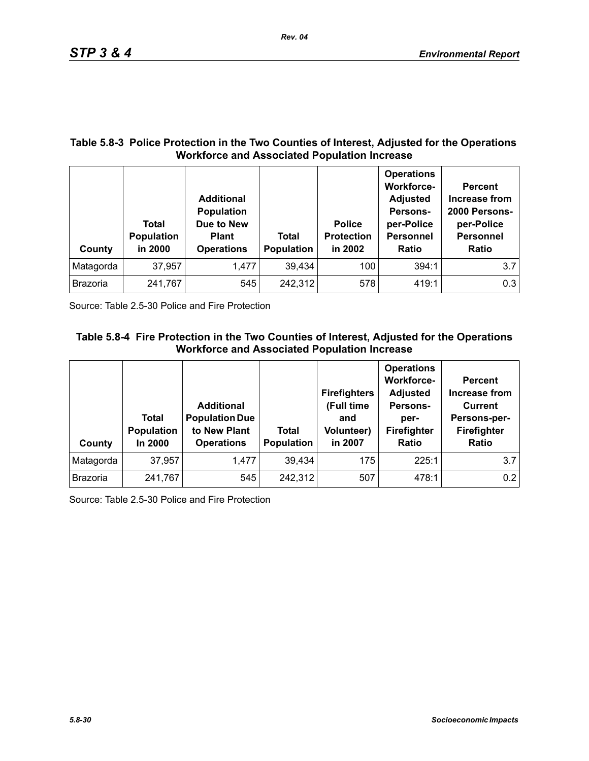### **Table 5.8-3 Police Protection in the Two Counties of Interest, Adjusted for the Operations Workforce and Associated Population Increase**

*Rev. 04*

| County          | Total<br><b>Population</b><br>in 2000 | <b>Additional</b><br><b>Population</b><br>Due to New<br><b>Plant</b><br><b>Operations</b> | <b>Total</b><br><b>Population</b> | <b>Police</b><br><b>Protection</b><br>in 2002 | <b>Operations</b><br><b>Workforce-</b><br><b>Adjusted</b><br>Persons-<br>per-Police<br><b>Personnel</b><br>Ratio | <b>Percent</b><br>Increase from<br>2000 Persons-<br>per-Police<br><b>Personnel</b><br><b>Ratio</b> |
|-----------------|---------------------------------------|-------------------------------------------------------------------------------------------|-----------------------------------|-----------------------------------------------|------------------------------------------------------------------------------------------------------------------|----------------------------------------------------------------------------------------------------|
| Matagorda       | 37,957                                | 1,477                                                                                     | 39,434                            | 100                                           | 394:1                                                                                                            | 3.7                                                                                                |
| <b>Brazoria</b> | 241,767                               | 545                                                                                       | 242,312                           | 578                                           | 419:1                                                                                                            | 0.3                                                                                                |

Source: Table 2.5-30 Police and Fire Protection

## **Table 5.8-4 Fire Protection in the Two Counties of Interest, Adjusted for the Operations Workforce and Associated Population Increase**

| County          | <b>Total</b><br><b>Population</b><br>In 2000 | <b>Additional</b><br><b>Population Due</b><br>to New Plant<br><b>Operations</b> | Total<br><b>Population</b> | <b>Firefighters</b><br>(Full time<br>and<br><b>Volunteer)</b><br>in 2007 | <b>Operations</b><br><b>Workforce-</b><br><b>Adjusted</b><br>Persons-<br>per-<br>Firefighter<br>Ratio | <b>Percent</b><br>Increase from<br><b>Current</b><br>Persons-per-<br>Firefighter<br>Ratio |
|-----------------|----------------------------------------------|---------------------------------------------------------------------------------|----------------------------|--------------------------------------------------------------------------|-------------------------------------------------------------------------------------------------------|-------------------------------------------------------------------------------------------|
| Matagorda       | 37,957                                       | 1,477                                                                           | 39,434                     | 175                                                                      | 225:1                                                                                                 | 3.7                                                                                       |
| <b>Brazoria</b> | 241,767                                      | 545                                                                             | 242,312                    | 507                                                                      | 478:1                                                                                                 | 0.2                                                                                       |

Source: Table 2.5-30 Police and Fire Protection